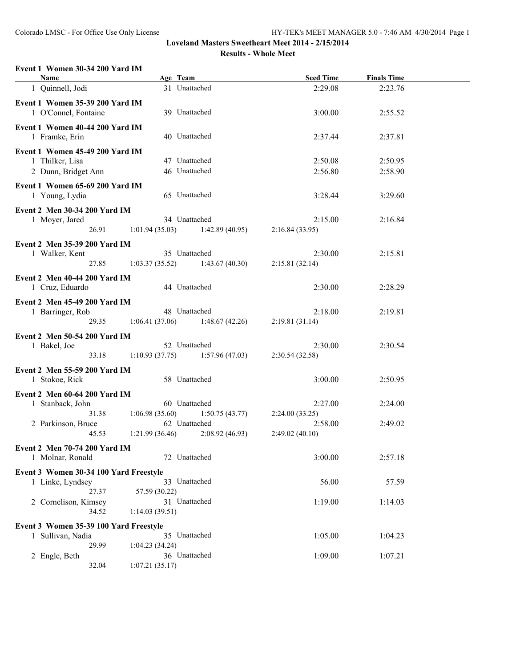#### **Event 1 Women 30-34 200 Yard IM**

| 31 Unattached<br>1 Quinnell, Jodi<br>2:29.08<br>2:23.76<br>Event 1 Women 35-39 200 Yard IM<br>39 Unattached<br>1 O'Connel, Fontaine<br>3:00.00<br>2:55.52<br>Event 1 Women 40-44 200 Yard IM<br>40 Unattached<br>1 Framke, Erin<br>2:37.81<br>2:37.44<br>Event 1 Women 45-49 200 Yard IM<br>47 Unattached<br>1 Thilker, Lisa<br>2:50.08<br>2:50.95<br>46 Unattached<br>2 Dunn, Bridget Ann<br>2:56.80<br>2:58.90<br>Event 1 Women 65-69 200 Yard IM<br>65 Unattached<br>1 Young, Lydia<br>3:28.44<br>3:29.60<br>Event 2 Men 30-34 200 Yard IM<br>34 Unattached<br>1 Moyer, Jared<br>2:15.00<br>2:16.84<br>26.91<br>1:01.94(35.03)<br>1:42.89(40.95)<br>2:16.84(33.95)<br>Event 2 Men 35-39 200 Yard IM<br>35 Unattached<br>2:30.00<br>1 Walker, Kent<br>2:15.81<br>27.85<br>1:03.37(35.52)<br>1:43.67(40.30)<br>2:15.81(32.14)<br>Event 2 Men 40-44 200 Yard IM<br>44 Unattached<br>1 Cruz, Eduardo<br>2:30.00<br>2:28.29<br>Event 2 Men 45-49 200 Yard IM<br>48 Unattached<br>1 Barringer, Rob<br>2:18.00<br>2:19.81<br>29.35<br>1:06.41(37.06)<br>1:48.67(42.26)<br>2:19.81(31.14)<br>Event 2 Men 50-54 200 Yard IM<br>52 Unattached<br>1 Bakel, Joe<br>2:30.00<br>2:30.54<br>33.18<br>$1:10.93(37.75)$ $1:57.96(47.03)$<br>2:30.54(32.58)<br>Event 2 Men 55-59 200 Yard IM<br>58 Unattached<br>1 Stokoe, Rick<br>3:00.00<br>2:50.95<br>Event 2 Men 60-64 200 Yard IM<br>60 Unattached<br>1 Stanback, John<br>2:27.00<br>2:24.00<br>31.38<br>1:06.98(35.60)<br>1:50.75(43.77)<br>2:24.00(33.25)<br>62 Unattached<br>2 Parkinson, Bruce<br>2:58.00<br>2:49.02<br>2:08.92 (46.93)<br>1:21.99(36.46)<br>45.53<br>2:49.02(40.10)<br>Event 2 Men 70-74 200 Yard IM<br>1 Molnar, Ronald<br>72 Unattached<br>3:00.00<br>2:57.18<br>Event 3 Women 30-34 100 Yard Freestyle<br>33 Unattached<br>56.00<br>57.59<br>1 Linke, Lyndsey<br>27.37<br>57.59 (30.22)<br>31 Unattached<br>2 Cornelison, Kimsey<br>1:19.00<br>1:14.03<br>34.52<br>1:14.03(39.51)<br>Event 3 Women 35-39 100 Yard Freestyle<br>35 Unattached<br>1 Sullivan, Nadia<br>1:05.00<br>1:04.23<br>29.99<br>1:04.23(34.24)<br>36 Unattached<br>2 Engle, Beth<br>1:09.00<br>1:07.21<br>32.04<br>1:07.21(35.17) | <b>Name</b> | Age Team | <b>Seed Time</b> | <b>Finals Time</b> |  |
|---------------------------------------------------------------------------------------------------------------------------------------------------------------------------------------------------------------------------------------------------------------------------------------------------------------------------------------------------------------------------------------------------------------------------------------------------------------------------------------------------------------------------------------------------------------------------------------------------------------------------------------------------------------------------------------------------------------------------------------------------------------------------------------------------------------------------------------------------------------------------------------------------------------------------------------------------------------------------------------------------------------------------------------------------------------------------------------------------------------------------------------------------------------------------------------------------------------------------------------------------------------------------------------------------------------------------------------------------------------------------------------------------------------------------------------------------------------------------------------------------------------------------------------------------------------------------------------------------------------------------------------------------------------------------------------------------------------------------------------------------------------------------------------------------------------------------------------------------------------------------------------------------------------------------------------------------------------------------------------------------------------------------------------------------------------------------------------------------------------------------------------------------------------------|-------------|----------|------------------|--------------------|--|
|                                                                                                                                                                                                                                                                                                                                                                                                                                                                                                                                                                                                                                                                                                                                                                                                                                                                                                                                                                                                                                                                                                                                                                                                                                                                                                                                                                                                                                                                                                                                                                                                                                                                                                                                                                                                                                                                                                                                                                                                                                                                                                                                                                     |             |          |                  |                    |  |
|                                                                                                                                                                                                                                                                                                                                                                                                                                                                                                                                                                                                                                                                                                                                                                                                                                                                                                                                                                                                                                                                                                                                                                                                                                                                                                                                                                                                                                                                                                                                                                                                                                                                                                                                                                                                                                                                                                                                                                                                                                                                                                                                                                     |             |          |                  |                    |  |
|                                                                                                                                                                                                                                                                                                                                                                                                                                                                                                                                                                                                                                                                                                                                                                                                                                                                                                                                                                                                                                                                                                                                                                                                                                                                                                                                                                                                                                                                                                                                                                                                                                                                                                                                                                                                                                                                                                                                                                                                                                                                                                                                                                     |             |          |                  |                    |  |
|                                                                                                                                                                                                                                                                                                                                                                                                                                                                                                                                                                                                                                                                                                                                                                                                                                                                                                                                                                                                                                                                                                                                                                                                                                                                                                                                                                                                                                                                                                                                                                                                                                                                                                                                                                                                                                                                                                                                                                                                                                                                                                                                                                     |             |          |                  |                    |  |
|                                                                                                                                                                                                                                                                                                                                                                                                                                                                                                                                                                                                                                                                                                                                                                                                                                                                                                                                                                                                                                                                                                                                                                                                                                                                                                                                                                                                                                                                                                                                                                                                                                                                                                                                                                                                                                                                                                                                                                                                                                                                                                                                                                     |             |          |                  |                    |  |
|                                                                                                                                                                                                                                                                                                                                                                                                                                                                                                                                                                                                                                                                                                                                                                                                                                                                                                                                                                                                                                                                                                                                                                                                                                                                                                                                                                                                                                                                                                                                                                                                                                                                                                                                                                                                                                                                                                                                                                                                                                                                                                                                                                     |             |          |                  |                    |  |
|                                                                                                                                                                                                                                                                                                                                                                                                                                                                                                                                                                                                                                                                                                                                                                                                                                                                                                                                                                                                                                                                                                                                                                                                                                                                                                                                                                                                                                                                                                                                                                                                                                                                                                                                                                                                                                                                                                                                                                                                                                                                                                                                                                     |             |          |                  |                    |  |
|                                                                                                                                                                                                                                                                                                                                                                                                                                                                                                                                                                                                                                                                                                                                                                                                                                                                                                                                                                                                                                                                                                                                                                                                                                                                                                                                                                                                                                                                                                                                                                                                                                                                                                                                                                                                                                                                                                                                                                                                                                                                                                                                                                     |             |          |                  |                    |  |
|                                                                                                                                                                                                                                                                                                                                                                                                                                                                                                                                                                                                                                                                                                                                                                                                                                                                                                                                                                                                                                                                                                                                                                                                                                                                                                                                                                                                                                                                                                                                                                                                                                                                                                                                                                                                                                                                                                                                                                                                                                                                                                                                                                     |             |          |                  |                    |  |
|                                                                                                                                                                                                                                                                                                                                                                                                                                                                                                                                                                                                                                                                                                                                                                                                                                                                                                                                                                                                                                                                                                                                                                                                                                                                                                                                                                                                                                                                                                                                                                                                                                                                                                                                                                                                                                                                                                                                                                                                                                                                                                                                                                     |             |          |                  |                    |  |
|                                                                                                                                                                                                                                                                                                                                                                                                                                                                                                                                                                                                                                                                                                                                                                                                                                                                                                                                                                                                                                                                                                                                                                                                                                                                                                                                                                                                                                                                                                                                                                                                                                                                                                                                                                                                                                                                                                                                                                                                                                                                                                                                                                     |             |          |                  |                    |  |
|                                                                                                                                                                                                                                                                                                                                                                                                                                                                                                                                                                                                                                                                                                                                                                                                                                                                                                                                                                                                                                                                                                                                                                                                                                                                                                                                                                                                                                                                                                                                                                                                                                                                                                                                                                                                                                                                                                                                                                                                                                                                                                                                                                     |             |          |                  |                    |  |
|                                                                                                                                                                                                                                                                                                                                                                                                                                                                                                                                                                                                                                                                                                                                                                                                                                                                                                                                                                                                                                                                                                                                                                                                                                                                                                                                                                                                                                                                                                                                                                                                                                                                                                                                                                                                                                                                                                                                                                                                                                                                                                                                                                     |             |          |                  |                    |  |
|                                                                                                                                                                                                                                                                                                                                                                                                                                                                                                                                                                                                                                                                                                                                                                                                                                                                                                                                                                                                                                                                                                                                                                                                                                                                                                                                                                                                                                                                                                                                                                                                                                                                                                                                                                                                                                                                                                                                                                                                                                                                                                                                                                     |             |          |                  |                    |  |
|                                                                                                                                                                                                                                                                                                                                                                                                                                                                                                                                                                                                                                                                                                                                                                                                                                                                                                                                                                                                                                                                                                                                                                                                                                                                                                                                                                                                                                                                                                                                                                                                                                                                                                                                                                                                                                                                                                                                                                                                                                                                                                                                                                     |             |          |                  |                    |  |
|                                                                                                                                                                                                                                                                                                                                                                                                                                                                                                                                                                                                                                                                                                                                                                                                                                                                                                                                                                                                                                                                                                                                                                                                                                                                                                                                                                                                                                                                                                                                                                                                                                                                                                                                                                                                                                                                                                                                                                                                                                                                                                                                                                     |             |          |                  |                    |  |
|                                                                                                                                                                                                                                                                                                                                                                                                                                                                                                                                                                                                                                                                                                                                                                                                                                                                                                                                                                                                                                                                                                                                                                                                                                                                                                                                                                                                                                                                                                                                                                                                                                                                                                                                                                                                                                                                                                                                                                                                                                                                                                                                                                     |             |          |                  |                    |  |
|                                                                                                                                                                                                                                                                                                                                                                                                                                                                                                                                                                                                                                                                                                                                                                                                                                                                                                                                                                                                                                                                                                                                                                                                                                                                                                                                                                                                                                                                                                                                                                                                                                                                                                                                                                                                                                                                                                                                                                                                                                                                                                                                                                     |             |          |                  |                    |  |
|                                                                                                                                                                                                                                                                                                                                                                                                                                                                                                                                                                                                                                                                                                                                                                                                                                                                                                                                                                                                                                                                                                                                                                                                                                                                                                                                                                                                                                                                                                                                                                                                                                                                                                                                                                                                                                                                                                                                                                                                                                                                                                                                                                     |             |          |                  |                    |  |
|                                                                                                                                                                                                                                                                                                                                                                                                                                                                                                                                                                                                                                                                                                                                                                                                                                                                                                                                                                                                                                                                                                                                                                                                                                                                                                                                                                                                                                                                                                                                                                                                                                                                                                                                                                                                                                                                                                                                                                                                                                                                                                                                                                     |             |          |                  |                    |  |
|                                                                                                                                                                                                                                                                                                                                                                                                                                                                                                                                                                                                                                                                                                                                                                                                                                                                                                                                                                                                                                                                                                                                                                                                                                                                                                                                                                                                                                                                                                                                                                                                                                                                                                                                                                                                                                                                                                                                                                                                                                                                                                                                                                     |             |          |                  |                    |  |
|                                                                                                                                                                                                                                                                                                                                                                                                                                                                                                                                                                                                                                                                                                                                                                                                                                                                                                                                                                                                                                                                                                                                                                                                                                                                                                                                                                                                                                                                                                                                                                                                                                                                                                                                                                                                                                                                                                                                                                                                                                                                                                                                                                     |             |          |                  |                    |  |
|                                                                                                                                                                                                                                                                                                                                                                                                                                                                                                                                                                                                                                                                                                                                                                                                                                                                                                                                                                                                                                                                                                                                                                                                                                                                                                                                                                                                                                                                                                                                                                                                                                                                                                                                                                                                                                                                                                                                                                                                                                                                                                                                                                     |             |          |                  |                    |  |
|                                                                                                                                                                                                                                                                                                                                                                                                                                                                                                                                                                                                                                                                                                                                                                                                                                                                                                                                                                                                                                                                                                                                                                                                                                                                                                                                                                                                                                                                                                                                                                                                                                                                                                                                                                                                                                                                                                                                                                                                                                                                                                                                                                     |             |          |                  |                    |  |
|                                                                                                                                                                                                                                                                                                                                                                                                                                                                                                                                                                                                                                                                                                                                                                                                                                                                                                                                                                                                                                                                                                                                                                                                                                                                                                                                                                                                                                                                                                                                                                                                                                                                                                                                                                                                                                                                                                                                                                                                                                                                                                                                                                     |             |          |                  |                    |  |
|                                                                                                                                                                                                                                                                                                                                                                                                                                                                                                                                                                                                                                                                                                                                                                                                                                                                                                                                                                                                                                                                                                                                                                                                                                                                                                                                                                                                                                                                                                                                                                                                                                                                                                                                                                                                                                                                                                                                                                                                                                                                                                                                                                     |             |          |                  |                    |  |
|                                                                                                                                                                                                                                                                                                                                                                                                                                                                                                                                                                                                                                                                                                                                                                                                                                                                                                                                                                                                                                                                                                                                                                                                                                                                                                                                                                                                                                                                                                                                                                                                                                                                                                                                                                                                                                                                                                                                                                                                                                                                                                                                                                     |             |          |                  |                    |  |
|                                                                                                                                                                                                                                                                                                                                                                                                                                                                                                                                                                                                                                                                                                                                                                                                                                                                                                                                                                                                                                                                                                                                                                                                                                                                                                                                                                                                                                                                                                                                                                                                                                                                                                                                                                                                                                                                                                                                                                                                                                                                                                                                                                     |             |          |                  |                    |  |
|                                                                                                                                                                                                                                                                                                                                                                                                                                                                                                                                                                                                                                                                                                                                                                                                                                                                                                                                                                                                                                                                                                                                                                                                                                                                                                                                                                                                                                                                                                                                                                                                                                                                                                                                                                                                                                                                                                                                                                                                                                                                                                                                                                     |             |          |                  |                    |  |
|                                                                                                                                                                                                                                                                                                                                                                                                                                                                                                                                                                                                                                                                                                                                                                                                                                                                                                                                                                                                                                                                                                                                                                                                                                                                                                                                                                                                                                                                                                                                                                                                                                                                                                                                                                                                                                                                                                                                                                                                                                                                                                                                                                     |             |          |                  |                    |  |
|                                                                                                                                                                                                                                                                                                                                                                                                                                                                                                                                                                                                                                                                                                                                                                                                                                                                                                                                                                                                                                                                                                                                                                                                                                                                                                                                                                                                                                                                                                                                                                                                                                                                                                                                                                                                                                                                                                                                                                                                                                                                                                                                                                     |             |          |                  |                    |  |
|                                                                                                                                                                                                                                                                                                                                                                                                                                                                                                                                                                                                                                                                                                                                                                                                                                                                                                                                                                                                                                                                                                                                                                                                                                                                                                                                                                                                                                                                                                                                                                                                                                                                                                                                                                                                                                                                                                                                                                                                                                                                                                                                                                     |             |          |                  |                    |  |
|                                                                                                                                                                                                                                                                                                                                                                                                                                                                                                                                                                                                                                                                                                                                                                                                                                                                                                                                                                                                                                                                                                                                                                                                                                                                                                                                                                                                                                                                                                                                                                                                                                                                                                                                                                                                                                                                                                                                                                                                                                                                                                                                                                     |             |          |                  |                    |  |
|                                                                                                                                                                                                                                                                                                                                                                                                                                                                                                                                                                                                                                                                                                                                                                                                                                                                                                                                                                                                                                                                                                                                                                                                                                                                                                                                                                                                                                                                                                                                                                                                                                                                                                                                                                                                                                                                                                                                                                                                                                                                                                                                                                     |             |          |                  |                    |  |
|                                                                                                                                                                                                                                                                                                                                                                                                                                                                                                                                                                                                                                                                                                                                                                                                                                                                                                                                                                                                                                                                                                                                                                                                                                                                                                                                                                                                                                                                                                                                                                                                                                                                                                                                                                                                                                                                                                                                                                                                                                                                                                                                                                     |             |          |                  |                    |  |
|                                                                                                                                                                                                                                                                                                                                                                                                                                                                                                                                                                                                                                                                                                                                                                                                                                                                                                                                                                                                                                                                                                                                                                                                                                                                                                                                                                                                                                                                                                                                                                                                                                                                                                                                                                                                                                                                                                                                                                                                                                                                                                                                                                     |             |          |                  |                    |  |
|                                                                                                                                                                                                                                                                                                                                                                                                                                                                                                                                                                                                                                                                                                                                                                                                                                                                                                                                                                                                                                                                                                                                                                                                                                                                                                                                                                                                                                                                                                                                                                                                                                                                                                                                                                                                                                                                                                                                                                                                                                                                                                                                                                     |             |          |                  |                    |  |
|                                                                                                                                                                                                                                                                                                                                                                                                                                                                                                                                                                                                                                                                                                                                                                                                                                                                                                                                                                                                                                                                                                                                                                                                                                                                                                                                                                                                                                                                                                                                                                                                                                                                                                                                                                                                                                                                                                                                                                                                                                                                                                                                                                     |             |          |                  |                    |  |
|                                                                                                                                                                                                                                                                                                                                                                                                                                                                                                                                                                                                                                                                                                                                                                                                                                                                                                                                                                                                                                                                                                                                                                                                                                                                                                                                                                                                                                                                                                                                                                                                                                                                                                                                                                                                                                                                                                                                                                                                                                                                                                                                                                     |             |          |                  |                    |  |
|                                                                                                                                                                                                                                                                                                                                                                                                                                                                                                                                                                                                                                                                                                                                                                                                                                                                                                                                                                                                                                                                                                                                                                                                                                                                                                                                                                                                                                                                                                                                                                                                                                                                                                                                                                                                                                                                                                                                                                                                                                                                                                                                                                     |             |          |                  |                    |  |
|                                                                                                                                                                                                                                                                                                                                                                                                                                                                                                                                                                                                                                                                                                                                                                                                                                                                                                                                                                                                                                                                                                                                                                                                                                                                                                                                                                                                                                                                                                                                                                                                                                                                                                                                                                                                                                                                                                                                                                                                                                                                                                                                                                     |             |          |                  |                    |  |
|                                                                                                                                                                                                                                                                                                                                                                                                                                                                                                                                                                                                                                                                                                                                                                                                                                                                                                                                                                                                                                                                                                                                                                                                                                                                                                                                                                                                                                                                                                                                                                                                                                                                                                                                                                                                                                                                                                                                                                                                                                                                                                                                                                     |             |          |                  |                    |  |
|                                                                                                                                                                                                                                                                                                                                                                                                                                                                                                                                                                                                                                                                                                                                                                                                                                                                                                                                                                                                                                                                                                                                                                                                                                                                                                                                                                                                                                                                                                                                                                                                                                                                                                                                                                                                                                                                                                                                                                                                                                                                                                                                                                     |             |          |                  |                    |  |
|                                                                                                                                                                                                                                                                                                                                                                                                                                                                                                                                                                                                                                                                                                                                                                                                                                                                                                                                                                                                                                                                                                                                                                                                                                                                                                                                                                                                                                                                                                                                                                                                                                                                                                                                                                                                                                                                                                                                                                                                                                                                                                                                                                     |             |          |                  |                    |  |
|                                                                                                                                                                                                                                                                                                                                                                                                                                                                                                                                                                                                                                                                                                                                                                                                                                                                                                                                                                                                                                                                                                                                                                                                                                                                                                                                                                                                                                                                                                                                                                                                                                                                                                                                                                                                                                                                                                                                                                                                                                                                                                                                                                     |             |          |                  |                    |  |
|                                                                                                                                                                                                                                                                                                                                                                                                                                                                                                                                                                                                                                                                                                                                                                                                                                                                                                                                                                                                                                                                                                                                                                                                                                                                                                                                                                                                                                                                                                                                                                                                                                                                                                                                                                                                                                                                                                                                                                                                                                                                                                                                                                     |             |          |                  |                    |  |
|                                                                                                                                                                                                                                                                                                                                                                                                                                                                                                                                                                                                                                                                                                                                                                                                                                                                                                                                                                                                                                                                                                                                                                                                                                                                                                                                                                                                                                                                                                                                                                                                                                                                                                                                                                                                                                                                                                                                                                                                                                                                                                                                                                     |             |          |                  |                    |  |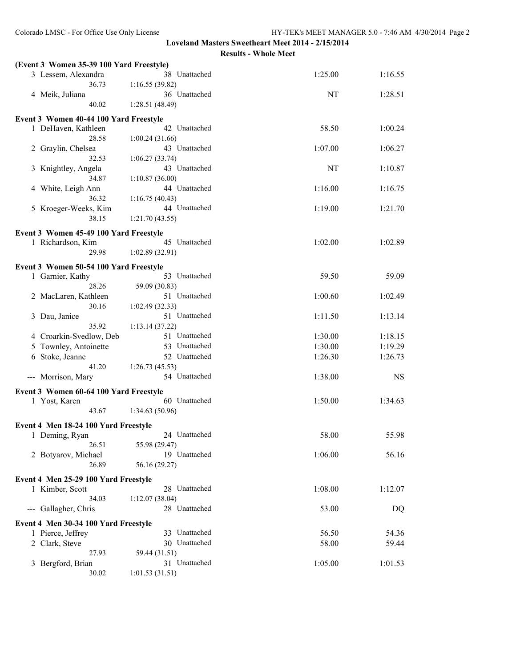|   | (Event 3 Women 35-39 100 Yard Freestyle)                   |                                 |         |           |
|---|------------------------------------------------------------|---------------------------------|---------|-----------|
|   | 3 Lessem, Alexandra                                        | 38 Unattached                   | 1:25.00 | 1:16.55   |
|   | 36.73                                                      | 1:16.55(39.82)                  |         |           |
|   | 4 Meik, Juliana                                            | 36 Unattached                   | NT      | 1:28.51   |
|   | 40.02                                                      | 1:28.51(48.49)                  |         |           |
|   | Event 3 Women 40-44 100 Yard Freestyle                     |                                 |         |           |
|   | 1 DeHaven, Kathleen                                        | 42 Unattached                   | 58.50   | 1:00.24   |
|   | 28.58                                                      | 1:00.24(31.66)                  |         |           |
|   | 2 Graylin, Chelsea                                         | 43 Unattached                   | 1:07.00 | 1:06.27   |
|   | 32.53                                                      | 1:06.27(33.74)                  |         |           |
| 3 | Knightley, Angela                                          | 43 Unattached                   | NT      | 1:10.87   |
|   | 34.87                                                      | 1:10.87(36.00)                  |         |           |
| 4 | White, Leigh Ann                                           | 44 Unattached                   | 1:16.00 | 1:16.75   |
|   | 36.32                                                      | 1:16.75(40.43)                  |         |           |
|   | 5 Kroeger-Weeks, Kim                                       | 44 Unattached                   | 1:19.00 | 1:21.70   |
|   | 38.15                                                      | 1:21.70(43.55)                  |         |           |
|   | Event 3 Women 45-49 100 Yard Freestyle                     |                                 |         |           |
|   | 1 Richardson, Kim                                          | 45 Unattached                   | 1:02.00 | 1:02.89   |
|   | 29.98                                                      | 1:02.89(32.91)                  |         |           |
|   |                                                            |                                 |         |           |
|   | Event 3 Women 50-54 100 Yard Freestyle<br>1 Garnier, Kathy | 53 Unattached                   | 59.50   | 59.09     |
|   | 28.26                                                      | 59.09 (30.83)                   |         |           |
|   | 2 MacLaren, Kathleen                                       | 51 Unattached                   | 1:00.60 | 1:02.49   |
|   | 30.16                                                      | 1:02.49(32.33)                  |         |           |
| 3 | Dau, Janice                                                | 51 Unattached                   | 1:11.50 | 1:13.14   |
|   | 35.92                                                      | 1:13.14 (37.22)                 |         |           |
|   | 4 Croarkin-Svedlow, Deb                                    | 51 Unattached                   | 1:30.00 | 1:18.15   |
| 5 | Townley, Antoinette                                        | 53 Unattached                   | 1:30.00 | 1:19.29   |
| 6 | Stoke, Jeanne                                              | 52 Unattached                   | 1:26.30 | 1:26.73   |
|   | 41.20                                                      | 1:26.73(45.53)                  |         |           |
|   | --- Morrison, Mary                                         | 54 Unattached                   | 1:38.00 | <b>NS</b> |
|   |                                                            |                                 |         |           |
|   | Event 3 Women 60-64 100 Yard Freestyle                     |                                 |         |           |
|   | 1 Yost, Karen<br>43.67                                     | 60 Unattached<br>1:34.63(50.96) | 1:50.00 | 1:34.63   |
|   |                                                            |                                 |         |           |
|   | Event 4 Men 18-24 100 Yard Freestyle                       |                                 |         |           |
|   | 1 Deming, Ryan                                             | 24 Unattached                   | 58.00   | 55.98     |
|   | 26.51                                                      | 55.98 (29.47)                   |         |           |
|   | 2 Botyarov, Michael                                        | 19 Unattached                   | 1:06.00 | 56.16     |
|   | 26.89                                                      | 56.16 (29.27)                   |         |           |
|   | Event 4 Men 25-29 100 Yard Freestyle                       |                                 |         |           |
|   | 1 Kimber, Scott                                            | 28 Unattached                   | 1:08.00 | 1:12.07   |
|   | 34.03                                                      | 1:12.07(38.04)                  |         |           |
|   | --- Gallagher, Chris                                       | 28 Unattached                   | 53.00   | DQ        |
|   | Event 4 Men 30-34 100 Yard Freestyle                       |                                 |         |           |
|   | 1 Pierce, Jeffrey                                          | 33 Unattached                   | 56.50   | 54.36     |
|   | 2 Clark, Steve                                             | 30 Unattached                   | 58.00   | 59.44     |
|   | 27.93                                                      | 59.44 (31.51)                   |         |           |
| 3 | Bergford, Brian                                            | 31 Unattached                   | 1:05.00 | 1:01.53   |
|   | 30.02                                                      | 1:01.53(31.51)                  |         |           |
|   |                                                            |                                 |         |           |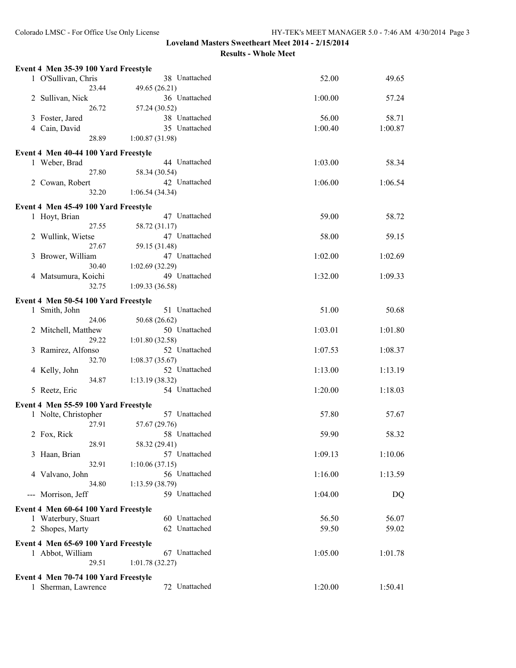| Event 4 Men 35-39 100 Yard Freestyle                        |                                 |         |         |
|-------------------------------------------------------------|---------------------------------|---------|---------|
| 1 O'Sullivan, Chris                                         | 38 Unattached                   | 52.00   | 49.65   |
| 23.44                                                       | 49.65 (26.21)                   |         |         |
| 2 Sullivan, Nick                                            | 36 Unattached                   | 1:00.00 | 57.24   |
| 26.72                                                       | 57.24 (30.52)                   |         |         |
| 3 Foster, Jared                                             | 38 Unattached                   | 56.00   | 58.71   |
| 4 Cain, David                                               | 35 Unattached                   | 1:00.40 | 1:00.87 |
| 28.89                                                       | 1:00.87(31.98)                  |         |         |
| Event 4 Men 40-44 100 Yard Freestyle                        |                                 |         |         |
| 1 Weber, Brad                                               | 44 Unattached                   | 1:03.00 | 58.34   |
| 27.80                                                       | 58.34 (30.54)                   |         |         |
| 2 Cowan, Robert                                             | 42 Unattached                   | 1:06.00 | 1:06.54 |
| 32.20                                                       | 1:06.54(34.34)                  |         |         |
| Event 4 Men 45-49 100 Yard Freestyle                        |                                 |         |         |
| 1 Hoyt, Brian                                               | 47 Unattached                   | 59.00   | 58.72   |
| 27.55                                                       | 58.72 (31.17)                   |         |         |
| 2 Wullink, Wietse                                           | 47 Unattached                   | 58.00   | 59.15   |
| 27.67                                                       | 59.15 (31.48)                   |         |         |
| 3 Brower, William                                           | 47 Unattached                   | 1:02.00 | 1:02.69 |
| 30.40                                                       | 1:02.69(32.29)                  |         |         |
| 4 Matsumura, Koichi                                         | 49 Unattached                   | 1:32.00 | 1:09.33 |
| 32.75                                                       | 1:09.33(36.58)                  |         |         |
| Event 4 Men 50-54 100 Yard Freestyle                        |                                 |         |         |
| 1 Smith, John                                               | 51 Unattached                   | 51.00   | 50.68   |
| 24.06                                                       | 50.68 (26.62)                   |         |         |
| 2 Mitchell, Matthew                                         | 50 Unattached                   | 1:03.01 | 1:01.80 |
| 29.22                                                       | 1:01.80 (32.58)                 |         |         |
| 3 Ramirez, Alfonso<br>32.70                                 | 52 Unattached                   | 1:07.53 | 1:08.37 |
| 4 Kelly, John                                               | 1:08.37(35.67)<br>52 Unattached | 1:13.00 | 1:13.19 |
| 34.87                                                       | 1:13.19(38.32)                  |         |         |
| 5 Reetz, Eric                                               | 54 Unattached                   | 1:20.00 | 1:18.03 |
|                                                             |                                 |         |         |
| Event 4 Men 55-59 100 Yard Freestyle                        |                                 |         |         |
| 1 Nolte, Christopher                                        | 57 Unattached                   | 57.80   | 57.67   |
| 27.91                                                       | 57.67 (29.76)<br>58 Unattached  | 59.90   | 58.32   |
| 2 Fox, Rick<br>28.91                                        | 58.32 (29.41)                   |         |         |
| 3 Haan, Brian                                               | 57 Unattached                   | 1:09.13 | 1:10.06 |
| 32.91                                                       | 1:10.06(37.15)                  |         |         |
| 4 Valvano, John                                             | 56 Unattached                   | 1:16.00 | 1:13.59 |
| 34.80                                                       | 1:13.59(38.79)                  |         |         |
| --- Morrison, Jeff                                          | 59 Unattached                   | 1:04.00 | DQ      |
|                                                             |                                 |         |         |
| Event 4 Men 60-64 100 Yard Freestyle<br>1 Waterbury, Stuart | 60 Unattached                   | 56.50   | 56.07   |
| 2 Shopes, Marty                                             | 62 Unattached                   | 59.50   | 59.02   |
|                                                             |                                 |         |         |
| Event 4 Men 65-69 100 Yard Freestyle                        |                                 |         |         |
| 1 Abbot, William                                            | 67 Unattached                   | 1:05.00 | 1:01.78 |
| 29.51                                                       | 1:01.78(32.27)                  |         |         |
| Event 4 Men 70-74 100 Yard Freestyle                        |                                 |         |         |
| 1 Sherman, Lawrence                                         | 72 Unattached                   | 1:20.00 | 1:50.41 |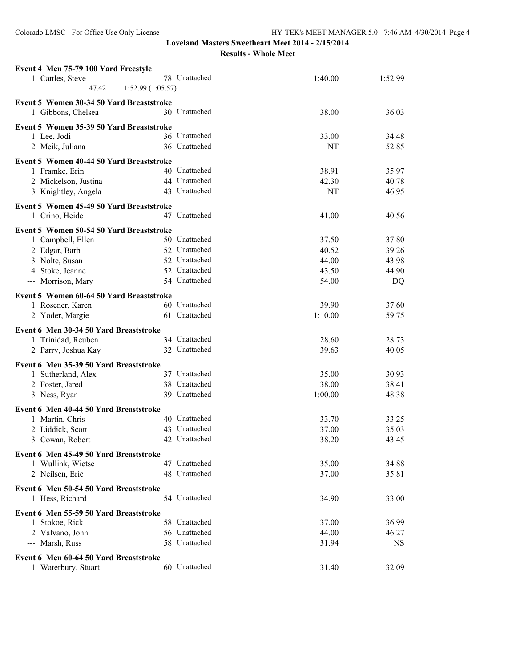| Event 4 Men 75-79 100 Yard Freestyle     |               |         |         |
|------------------------------------------|---------------|---------|---------|
| 1 Cattles, Steve                         | 78 Unattached | 1:40.00 | 1:52.99 |
| 47.42<br>1:52.99(1:05.57)                |               |         |         |
| Event 5 Women 30-34 50 Yard Breaststroke |               |         |         |
| 1 Gibbons, Chelsea                       | 30 Unattached | 38.00   | 36.03   |
|                                          |               |         |         |
| Event 5 Women 35-39 50 Yard Breaststroke |               |         |         |
| 1 Lee, Jodi                              | 36 Unattached | 33.00   | 34.48   |
| 2 Meik, Juliana                          | 36 Unattached | NT      | 52.85   |
| Event 5 Women 40-44 50 Yard Breaststroke |               |         |         |
| 1 Framke, Erin                           | 40 Unattached | 38.91   | 35.97   |
| 2 Mickelson, Justina                     | 44 Unattached | 42.30   | 40.78   |
| 3 Knightley, Angela                      | 43 Unattached | NT      | 46.95   |
| Event 5 Women 45-49 50 Yard Breaststroke |               |         |         |
| 1 Crino, Heide                           | 47 Unattached | 41.00   | 40.56   |
|                                          |               |         |         |
| Event 5 Women 50-54 50 Yard Breaststroke |               |         |         |
| 1 Campbell, Ellen                        | 50 Unattached | 37.50   | 37.80   |
| 2 Edgar, Barb                            | 52 Unattached | 40.52   | 39.26   |
| 3 Nolte, Susan                           | 52 Unattached | 44.00   | 43.98   |
| 4 Stoke, Jeanne                          | 52 Unattached | 43.50   | 44.90   |
| --- Morrison, Mary                       | 54 Unattached | 54.00   | DQ      |
| Event 5 Women 60-64 50 Yard Breaststroke |               |         |         |
| 1 Rosener, Karen                         | 60 Unattached | 39.90   | 37.60   |
| 2 Yoder, Margie                          | 61 Unattached | 1:10.00 | 59.75   |
|                                          |               |         |         |
| Event 6 Men 30-34 50 Yard Breaststroke   | 34 Unattached | 28.60   | 28.73   |
| 1 Trinidad, Reuben                       | 32 Unattached | 39.63   | 40.05   |
| 2 Parry, Joshua Kay                      |               |         |         |
| Event 6 Men 35-39 50 Yard Breaststroke   |               |         |         |
| 1 Sutherland, Alex                       | 37 Unattached | 35.00   | 30.93   |
| 2 Foster, Jared                          | 38 Unattached | 38.00   | 38.41   |
| 3 Ness, Ryan                             | 39 Unattached | 1:00.00 | 48.38   |
| Event 6 Men 40-44 50 Yard Breaststroke   |               |         |         |
| 1 Martin, Chris                          | 40 Unattached | 33.70   | 33.25   |
| 2 Liddick, Scott                         | 43 Unattached | 37.00   | 35.03   |
| 3 Cowan, Robert                          | 42 Unattached | 38.20   | 43.45   |
|                                          |               |         |         |
| Event 6 Men 45-49 50 Yard Breaststroke   |               |         |         |
| 1 Wullink, Wietse                        | 47 Unattached | 35.00   | 34.88   |
| 2 Neilsen, Eric                          | 48 Unattached | 37.00   | 35.81   |
| Event 6 Men 50-54 50 Yard Breaststroke   |               |         |         |
| 1 Hess, Richard                          | 54 Unattached | 34.90   | 33.00   |
| Event 6 Men 55-59 50 Yard Breaststroke   |               |         |         |
| 1 Stokoe, Rick                           | 58 Unattached | 37.00   | 36.99   |
| 2 Valvano, John                          | 56 Unattached | 44.00   | 46.27   |
| --- Marsh, Russ                          | 58 Unattached | 31.94   | NS      |
|                                          |               |         |         |
| Event 6 Men 60-64 50 Yard Breaststroke   |               |         |         |
| 1 Waterbury, Stuart                      | 60 Unattached | 31.40   | 32.09   |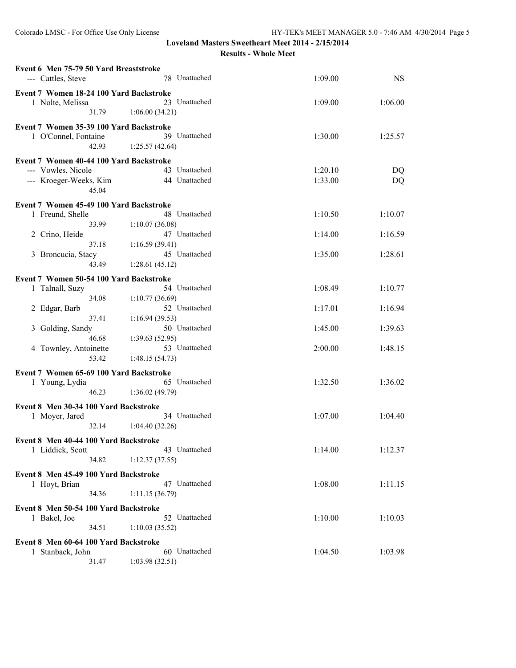| Event 6 Men 75-79 50 Yard Breaststroke<br>--- Cattles, Steve                                     | 78 Unattached                                                      | 1:09.00            | <b>NS</b>          |
|--------------------------------------------------------------------------------------------------|--------------------------------------------------------------------|--------------------|--------------------|
| Event 7 Women 18-24 100 Yard Backstroke<br>1 Nolte, Melissa<br>31.79                             | 23 Unattached<br>1:06.00(34.21)                                    | 1:09.00            | 1:06.00            |
| Event 7 Women 35-39 100 Yard Backstroke<br>1 O'Connel, Fontaine<br>42.93                         | 39 Unattached<br>1:25.57(42.64)                                    | 1:30.00            | 1:25.57            |
| Event 7 Women 40-44 100 Yard Backstroke<br>--- Vowles, Nicole<br>--- Kroeger-Weeks, Kim<br>45.04 | 43 Unattached<br>44 Unattached                                     | 1:20.10<br>1:33.00 | DQ<br><b>DQ</b>    |
| Event 7 Women 45-49 100 Yard Backstroke<br>1 Freund, Shelle<br>33.99                             | 48 Unattached<br>1:10.07(36.08)                                    | 1:10.50            | 1:10.07            |
| Crino, Heide<br>$\overline{2}$<br>37.18<br>3 Broncucia, Stacy<br>43.49                           | 47 Unattached<br>1:16.59(39.41)<br>45 Unattached<br>1:28.61(45.12) | 1:14.00<br>1:35.00 | 1:16.59<br>1:28.61 |
| Event 7 Women 50-54 100 Yard Backstroke<br>1 Talnall, Suzy<br>34.08                              | 54 Unattached<br>1:10.77(36.69)                                    | 1:08.49            | 1:10.77            |
| 2 Edgar, Barb<br>37.41<br>Golding, Sandy<br>3<br>46.68                                           | 52 Unattached<br>1:16.94(39.53)<br>50 Unattached<br>1:39.63(52.95) | 1:17.01<br>1:45.00 | 1:16.94<br>1:39.63 |
| 4 Townley, Antoinette<br>53.42                                                                   | 53 Unattached<br>1:48.15(54.73)                                    | 2:00.00            | 1:48.15            |
| Event 7 Women 65-69 100 Yard Backstroke<br>1 Young, Lydia<br>46.23                               | 65 Unattached<br>1:36.02(49.79)                                    | 1:32.50            | 1:36.02            |
| Event 8 Men 30-34 100 Yard Backstroke<br>1 Moyer, Jared<br>32.14                                 | 34 Unattached<br>1:04.40(32.26)                                    | 1:07.00            | 1:04.40            |
| Event 8 Men 40-44 100 Yard Backstroke<br>1 Liddick, Scott<br>34.82                               | 43 Unattached<br>1:12.37(37.55)                                    | 1:14.00            | 1:12.37            |
| Event 8 Men 45-49 100 Yard Backstroke<br>1 Hoyt, Brian<br>34.36                                  | 47 Unattached<br>1:11.15(36.79)                                    | 1:08.00            | 1:11.15            |
| Event 8 Men 50-54 100 Yard Backstroke<br>1 Bakel, Joe<br>34.51                                   | 52 Unattached<br>1:10.03(35.52)                                    | 1:10.00            | 1:10.03            |
| Event 8 Men 60-64 100 Yard Backstroke<br>1 Stanback, John<br>31.47                               | 60 Unattached<br>1:03.98(32.51)                                    | 1:04.50            | 1:03.98            |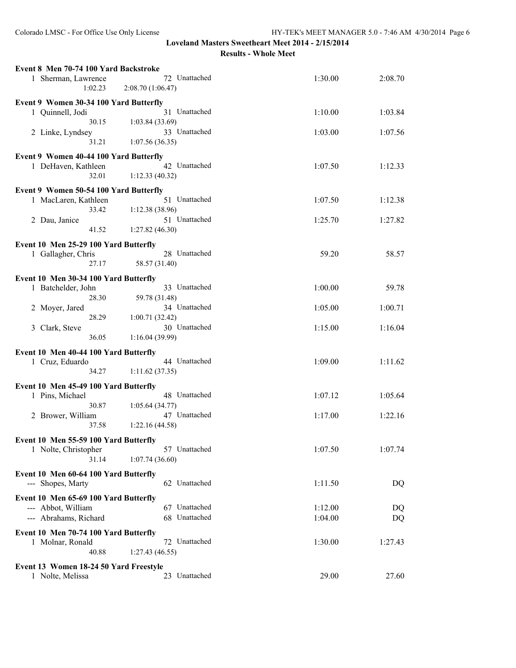| Event 8 Men 70-74 100 Yard Backstroke  |                                    |         |         |
|----------------------------------------|------------------------------------|---------|---------|
| 1 Sherman, Lawrence<br>1:02.23         | 72 Unattached<br>2:08.70 (1:06.47) | 1:30.00 | 2:08.70 |
| Event 9 Women 30-34 100 Yard Butterfly |                                    |         |         |
| 1 Quinnell, Jodi<br>30.15              | 31 Unattached<br>1:03.84(33.69)    | 1:10.00 | 1:03.84 |
| 2 Linke, Lyndsey<br>31.21              | 33 Unattached<br>1:07.56(36.35)    | 1:03.00 | 1:07.56 |
|                                        |                                    |         |         |
| Event 9 Women 40-44 100 Yard Butterfly |                                    |         |         |
| 1 DeHaven, Kathleen<br>32.01           | 42 Unattached<br>1:12.33(40.32)    | 1:07.50 | 1:12.33 |
|                                        |                                    |         |         |
| Event 9 Women 50-54 100 Yard Butterfly |                                    |         |         |
| 1 MacLaren, Kathleen                   | 51 Unattached                      | 1:07.50 | 1:12.38 |
| 33.42                                  | 1:12.38(38.96)                     |         |         |
| 2 Dau, Janice                          | 51 Unattached                      | 1:25.70 | 1:27.82 |
| 41.52                                  | 1:27.82(46.30)                     |         |         |
| Event 10 Men 25-29 100 Yard Butterfly  |                                    |         |         |
|                                        | 28 Unattached                      |         |         |
| 1 Gallagher, Chris                     |                                    | 59.20   | 58.57   |
| 27.17                                  | 58.57 (31.40)                      |         |         |
| Event 10 Men 30-34 100 Yard Butterfly  |                                    |         |         |
| 1 Batchelder, John                     | 33 Unattached                      | 1:00.00 | 59.78   |
| 28.30                                  | 59.78 (31.48)                      |         |         |
|                                        | 34 Unattached                      | 1:05.00 |         |
| 2 Moyer, Jared                         |                                    |         | 1:00.71 |
| 28.29                                  | 1:00.71(32.42)                     |         |         |
| 3 Clark, Steve                         | 30 Unattached                      | 1:15.00 | 1:16.04 |
| 36.05                                  | 1:16.04(39.99)                     |         |         |
| Event 10 Men 40-44 100 Yard Butterfly  |                                    |         |         |
| 1 Cruz, Eduardo                        | 44 Unattached                      | 1:09.00 | 1:11.62 |
|                                        |                                    |         |         |
| 34.27                                  | 1:11.62(37.35)                     |         |         |
| Event 10 Men 45-49 100 Yard Butterfly  |                                    |         |         |
| 1 Pins, Michael                        | 48 Unattached                      | 1:07.12 | 1:05.64 |
| 30.87                                  | 1:05.64(34.77)                     |         |         |
| 2 Brower, William                      | 47 Unattached                      | 1:17.00 | 1:22.16 |
| 37.58                                  | 1:22.16(44.58)                     |         |         |
|                                        |                                    |         |         |
| Event 10 Men 55-59 100 Yard Butterfly  |                                    |         |         |
| 1 Nolte, Christopher                   | 57 Unattached                      | 1:07.50 | 1:07.74 |
| 31.14                                  | 1:07.74(36.60)                     |         |         |
|                                        |                                    |         |         |
| Event 10 Men 60-64 100 Yard Butterfly  |                                    |         |         |
| --- Shopes, Marty                      | 62 Unattached                      | 1:11.50 | DQ      |
| Event 10 Men 65-69 100 Yard Butterfly  |                                    |         |         |
| --- Abbot, William                     | 67 Unattached                      | 1:12.00 | DQ      |
|                                        |                                    |         |         |
| --- Abrahams, Richard                  | 68 Unattached                      | 1:04.00 | DQ      |
| Event 10 Men 70-74 100 Yard Butterfly  |                                    |         |         |
| 1 Molnar, Ronald                       | 72 Unattached                      | 1:30.00 | 1:27.43 |
| 40.88                                  | 1:27.43(46.55)                     |         |         |
|                                        |                                    |         |         |
| Event 13 Women 18-24 50 Yard Freestyle |                                    |         |         |
| 1 Nolte, Melissa                       | 23 Unattached                      | 29.00   | 27.60   |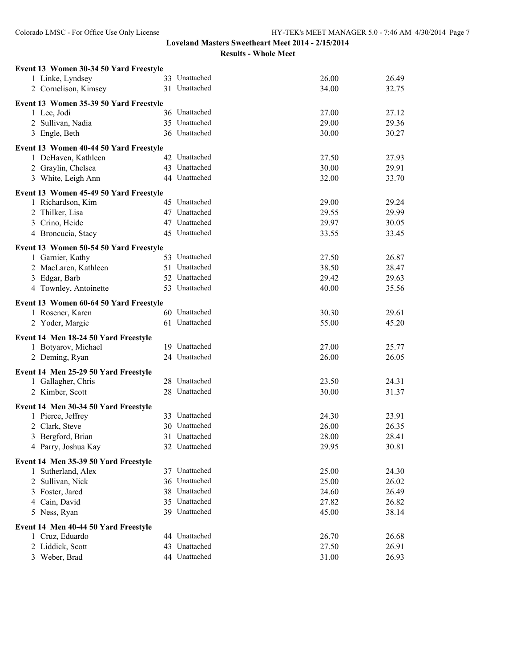| Event 13 Women 30-34 50 Yard Freestyle                        |               |       |       |
|---------------------------------------------------------------|---------------|-------|-------|
| 1 Linke, Lyndsey                                              | 33 Unattached | 26.00 | 26.49 |
| 2 Cornelison, Kimsey                                          | 31 Unattached | 34.00 | 32.75 |
| Event 13 Women 35-39 50 Yard Freestyle                        |               |       |       |
| 1 Lee, Jodi                                                   | 36 Unattached | 27.00 | 27.12 |
| 2 Sullivan, Nadia                                             | 35 Unattached | 29.00 | 29.36 |
| 3 Engle, Beth                                                 | 36 Unattached | 30.00 | 30.27 |
|                                                               |               |       |       |
| Event 13 Women 40-44 50 Yard Freestyle<br>1 DeHaven, Kathleen | 42 Unattached | 27.50 | 27.93 |
| 2 Graylin, Chelsea                                            | 43 Unattached | 30.00 | 29.91 |
| 3 White, Leigh Ann                                            | 44 Unattached | 32.00 | 33.70 |
|                                                               |               |       |       |
| Event 13 Women 45-49 50 Yard Freestyle                        |               |       |       |
| 1 Richardson, Kim                                             | 45 Unattached | 29.00 | 29.24 |
| 2 Thilker, Lisa                                               | 47 Unattached | 29.55 | 29.99 |
| 3 Crino, Heide                                                | 47 Unattached | 29.97 | 30.05 |
| 4 Broncucia, Stacy                                            | 45 Unattached | 33.55 | 33.45 |
| Event 13 Women 50-54 50 Yard Freestyle                        |               |       |       |
| 1 Garnier, Kathy                                              | 53 Unattached | 27.50 | 26.87 |
| 2 MacLaren, Kathleen                                          | 51 Unattached | 38.50 | 28.47 |
| 3 Edgar, Barb                                                 | 52 Unattached | 29.42 | 29.63 |
| 4 Townley, Antoinette                                         | 53 Unattached | 40.00 | 35.56 |
| Event 13 Women 60-64 50 Yard Freestyle                        |               |       |       |
| 1 Rosener, Karen                                              | 60 Unattached | 30.30 | 29.61 |
| 2 Yoder, Margie                                               | 61 Unattached | 55.00 | 45.20 |
|                                                               |               |       |       |
| Event 14 Men 18-24 50 Yard Freestyle                          |               |       |       |
| 1 Botyarov, Michael                                           | 19 Unattached | 27.00 | 25.77 |
| 2 Deming, Ryan                                                | 24 Unattached | 26.00 | 26.05 |
| Event 14 Men 25-29 50 Yard Freestyle                          |               |       |       |
| 1 Gallagher, Chris                                            | 28 Unattached | 23.50 | 24.31 |
| 2 Kimber, Scott                                               | 28 Unattached | 30.00 | 31.37 |
| Event 14 Men 30-34 50 Yard Freestyle                          |               |       |       |
| 1 Pierce, Jeffrey                                             | 33 Unattached | 24.30 | 23.91 |
| 2 Clark, Steve                                                | 30 Unattached | 26.00 | 26.35 |
| 3 Bergford, Brian                                             | 31 Unattached | 28.00 | 28.41 |
| 4 Parry, Joshua Kay                                           | 32 Unattached | 29.95 | 30.81 |
|                                                               |               |       |       |
| Event 14 Men 35-39 50 Yard Freestyle                          |               |       |       |
| 1 Sutherland, Alex                                            | 37 Unattached | 25.00 | 24.30 |
| 2 Sullivan, Nick                                              | 36 Unattached | 25.00 | 26.02 |
| 3 Foster, Jared                                               | 38 Unattached | 24.60 | 26.49 |
| 4 Cain, David                                                 | 35 Unattached | 27.82 | 26.82 |
| 5 Ness, Ryan                                                  | 39 Unattached | 45.00 | 38.14 |
| Event 14 Men 40-44 50 Yard Freestyle                          |               |       |       |
| 1 Cruz, Eduardo                                               | 44 Unattached | 26.70 | 26.68 |
| 2 Liddick, Scott                                              | 43 Unattached | 27.50 | 26.91 |
| 3 Weber, Brad                                                 | 44 Unattached | 31.00 | 26.93 |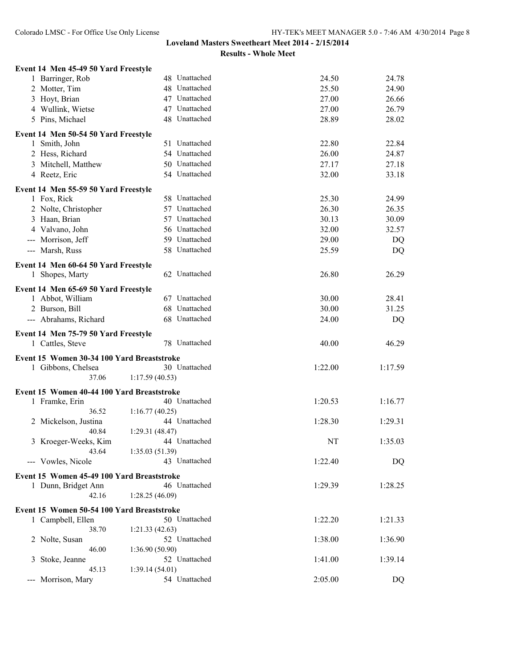| Event 14 Men 45-49 50 Yard Freestyle       |                |         |         |
|--------------------------------------------|----------------|---------|---------|
| 1 Barringer, Rob                           | 48 Unattached  | 24.50   | 24.78   |
| 2 Motter, Tim                              | 48 Unattached  | 25.50   | 24.90   |
| 3 Hoyt, Brian                              | 47 Unattached  | 27.00   | 26.66   |
| 4 Wullink, Wietse                          | 47 Unattached  | 27.00   | 26.79   |
| 5 Pins, Michael                            | 48 Unattached  | 28.89   | 28.02   |
| Event 14 Men 50-54 50 Yard Freestyle       |                |         |         |
| 1 Smith, John                              | 51 Unattached  | 22.80   | 22.84   |
| 2 Hess, Richard                            | 54 Unattached  | 26.00   | 24.87   |
| 3 Mitchell, Matthew                        | 50 Unattached  | 27.17   | 27.18   |
| 4 Reetz, Eric                              | 54 Unattached  | 32.00   | 33.18   |
| Event 14 Men 55-59 50 Yard Freestyle       |                |         |         |
| 1 Fox, Rick                                | 58 Unattached  | 25.30   | 24.99   |
| 2 Nolte, Christopher                       | 57 Unattached  | 26.30   | 26.35   |
| 3 Haan, Brian                              | 57 Unattached  | 30.13   | 30.09   |
| 4 Valvano, John                            | 56 Unattached  | 32.00   | 32.57   |
| --- Morrison, Jeff                         | 59 Unattached  | 29.00   | DQ      |
| --- Marsh, Russ                            | 58 Unattached  | 25.59   | DQ      |
| Event 14 Men 60-64 50 Yard Freestyle       |                |         |         |
| 1 Shopes, Marty                            | 62 Unattached  | 26.80   | 26.29   |
| Event 14 Men 65-69 50 Yard Freestyle       |                |         |         |
| 1 Abbot, William                           | 67 Unattached  | 30.00   | 28.41   |
| 2 Burson, Bill                             | 68 Unattached  | 30.00   | 31.25   |
| --- Abrahams, Richard                      | 68 Unattached  | 24.00   | DQ      |
| Event 14 Men 75-79 50 Yard Freestyle       |                |         |         |
| 1 Cattles, Steve                           | 78 Unattached  | 40.00   | 46.29   |
| Event 15 Women 30-34 100 Yard Breaststroke |                |         |         |
| 1 Gibbons, Chelsea                         | 30 Unattached  | 1:22.00 | 1:17.59 |
| 37.06                                      | 1:17.59(40.53) |         |         |
| Event 15 Women 40-44 100 Yard Breaststroke |                |         |         |
| 1 Framke, Erin                             | 40 Unattached  | 1:20.53 | 1:16.77 |
| 36.52                                      | 1:16.77(40.25) |         |         |
| 2 Mickelson, Justina                       | 44 Unattached  | 1:28.30 | 1:29.31 |
| 40.84                                      | 1:29.31(48.47) |         |         |
| 3 Kroeger-Weeks, Kim                       | 44 Unattached  | NT      | 1:35.03 |
| 43.64                                      | 1:35.03(51.39) |         |         |
| --- Vowles, Nicole                         | 43 Unattached  | 1:22.40 | DQ      |
| Event 15 Women 45-49 100 Yard Breaststroke |                |         |         |
| 1 Dunn, Bridget Ann                        | 46 Unattached  | 1:29.39 | 1:28.25 |
| 42.16                                      | 1:28.25(46.09) |         |         |
| Event 15 Women 50-54 100 Yard Breaststroke |                |         |         |
| 1 Campbell, Ellen                          | 50 Unattached  | 1:22.20 | 1:21.33 |
| 38.70                                      | 1:21.33(42.63) |         |         |
| 2 Nolte, Susan                             | 52 Unattached  | 1:38.00 | 1:36.90 |
| 46.00                                      | 1:36.90(50.90) |         |         |
| Stoke, Jeanne<br>3                         | 52 Unattached  | 1:41.00 | 1:39.14 |
| 45.13                                      | 1:39.14(54.01) |         |         |
| Morrison, Mary<br>---                      | 54 Unattached  | 2:05.00 | DQ      |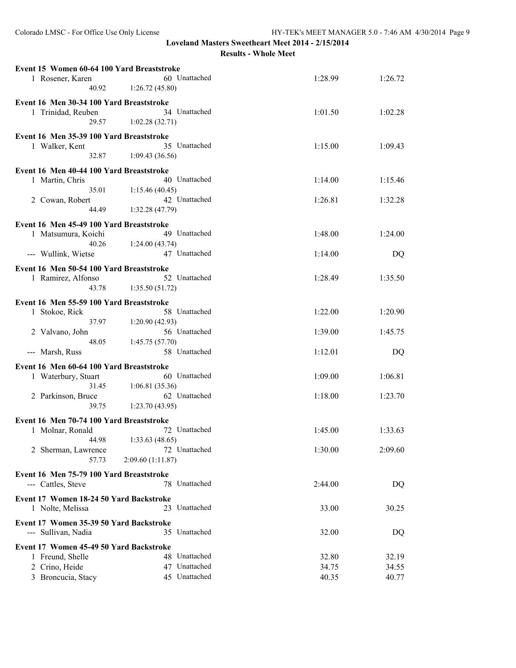| Event 15 Women 60-64 100 Yard Breaststroke |                  |         |         |
|--------------------------------------------|------------------|---------|---------|
| 1 Rosener, Karen                           | 60 Unattached    | 1:28.99 | 1:26.72 |
| 40.92                                      | 1:26.72(45.80)   |         |         |
| Event 16 Men 30-34 100 Yard Breaststroke   |                  |         |         |
| 1 Trinidad, Reuben                         | 34 Unattached    | 1:01.50 | 1:02.28 |
| 29.57                                      | 1:02.28(32.71)   |         |         |
|                                            |                  |         |         |
| Event 16 Men 35-39 100 Yard Breaststroke   |                  |         |         |
| 1 Walker, Kent                             | 35 Unattached    | 1:15.00 | 1:09.43 |
| 32.87                                      | 1:09.43(36.56)   |         |         |
| Event 16 Men 40-44 100 Yard Breaststroke   |                  |         |         |
| 1 Martin, Chris                            | 40 Unattached    | 1:14.00 | 1:15.46 |
| 35.01                                      | 1:15.46(40.45)   |         |         |
| 2 Cowan, Robert                            | 42 Unattached    | 1:26.81 | 1:32.28 |
| 44.49                                      | 1:32.28(47.79)   |         |         |
|                                            |                  |         |         |
| Event 16 Men 45-49 100 Yard Breaststroke   |                  |         |         |
| 1 Matsumura, Koichi                        | 49 Unattached    | 1:48.00 | 1:24.00 |
| 40.26                                      | 1:24.00(43.74)   |         |         |
| --- Wullink, Wietse                        | 47 Unattached    | 1:14.00 | DQ      |
| Event 16 Men 50-54 100 Yard Breaststroke   |                  |         |         |
| 1 Ramirez, Alfonso                         | 52 Unattached    | 1:28.49 | 1:35.50 |
| 43.78                                      | 1:35.50(51.72)   |         |         |
|                                            |                  |         |         |
| Event 16 Men 55-59 100 Yard Breaststroke   |                  |         |         |
| 1 Stokoe, Rick                             | 58 Unattached    | 1:22.00 | 1:20.90 |
| 37.97                                      | 1:20.90(42.93)   |         |         |
| 2 Valvano, John                            | 56 Unattached    | 1:39.00 | 1:45.75 |
| 48.05                                      | 1:45.75(57.70)   |         |         |
| --- Marsh, Russ                            | 58 Unattached    | 1:12.01 | DQ      |
| Event 16 Men 60-64 100 Yard Breaststroke   |                  |         |         |
| 1 Waterbury, Stuart                        | 60 Unattached    | 1:09.00 | 1:06.81 |
| 31.45                                      | 1:06.81(35.36)   |         |         |
|                                            | 62 Unattached    | 1:18.00 | 1:23.70 |
| 2 Parkinson, Bruce<br>39.75                |                  |         |         |
|                                            | 1:23.70(43.95)   |         |         |
| Event 16 Men 70-74 100 Yard Breaststroke   |                  |         |         |
| 1 Molnar, Ronald                           | 72 Unattached    | 1:45.00 | 1:33.63 |
| 44.98                                      | 1:33.63 (48.65)  |         |         |
| 2 Sherman, Lawrence                        | 72 Unattached    | 1:30.00 | 2:09.60 |
| 57.73                                      | 2:09.60(1:11.87) |         |         |
|                                            |                  |         |         |
| Event 16 Men 75-79 100 Yard Breaststroke   |                  |         |         |
| --- Cattles, Steve                         | 78 Unattached    | 2:44.00 | DQ      |
| Event 17 Women 18-24 50 Yard Backstroke    |                  |         |         |
| 1 Nolte, Melissa                           | 23 Unattached    | 33.00   | 30.25   |
|                                            |                  |         |         |
| Event 17 Women 35-39 50 Yard Backstroke    |                  |         |         |
| --- Sullivan, Nadia                        | 35 Unattached    | 32.00   | DQ      |
| Event 17 Women 45-49 50 Yard Backstroke    |                  |         |         |
| 1 Freund, Shelle                           | 48 Unattached    | 32.80   | 32.19   |
| 2 Crino, Heide                             | 47 Unattached    | 34.75   | 34.55   |
| 3 Broncucia, Stacy                         | 45 Unattached    | 40.35   | 40.77   |
|                                            |                  |         |         |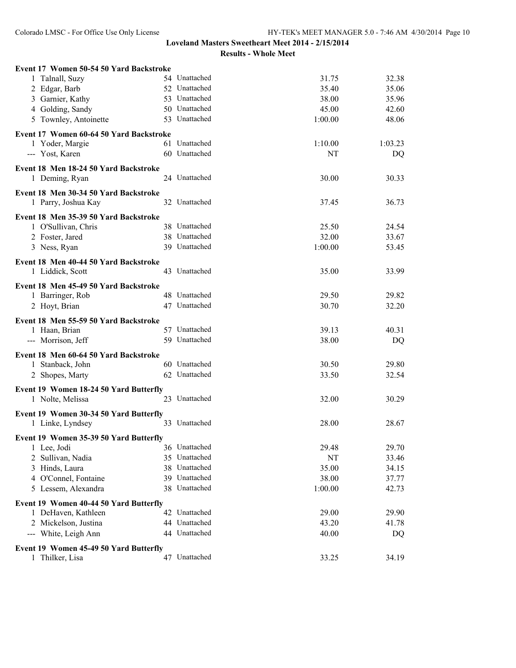| Event 17 Women 50-54 50 Yard Backstroke |               |         |         |
|-----------------------------------------|---------------|---------|---------|
| 1 Talnall, Suzy                         | 54 Unattached | 31.75   | 32.38   |
| 2 Edgar, Barb                           | 52 Unattached | 35.40   | 35.06   |
| 3 Garnier, Kathy                        | 53 Unattached | 38.00   | 35.96   |
| 4 Golding, Sandy                        | 50 Unattached | 45.00   | 42.60   |
| 5 Townley, Antoinette                   | 53 Unattached | 1:00.00 | 48.06   |
| Event 17 Women 60-64 50 Yard Backstroke |               |         |         |
| 1 Yoder, Margie                         | 61 Unattached | 1:10.00 | 1:03.23 |
| --- Yost, Karen                         | 60 Unattached | NT      | DQ      |
| Event 18 Men 18-24 50 Yard Backstroke   |               |         |         |
| 1 Deming, Ryan                          | 24 Unattached | 30.00   | 30.33   |
| Event 18 Men 30-34 50 Yard Backstroke   |               |         |         |
| 1 Parry, Joshua Kay                     | 32 Unattached | 37.45   | 36.73   |
| Event 18 Men 35-39 50 Yard Backstroke   |               |         |         |
| 1 O'Sullivan, Chris                     | 38 Unattached | 25.50   | 24.54   |
| 2 Foster, Jared                         | 38 Unattached | 32.00   | 33.67   |
| 3 Ness, Ryan                            | 39 Unattached | 1:00.00 | 53.45   |
| Event 18 Men 40-44 50 Yard Backstroke   |               |         |         |
| 1 Liddick, Scott                        | 43 Unattached | 35.00   | 33.99   |
| Event 18 Men 45-49 50 Yard Backstroke   |               |         |         |
| 1 Barringer, Rob                        | 48 Unattached | 29.50   | 29.82   |
| 2 Hoyt, Brian                           | 47 Unattached | 30.70   | 32.20   |
| Event 18 Men 55-59 50 Yard Backstroke   |               |         |         |
| 1 Haan, Brian                           | 57 Unattached | 39.13   | 40.31   |
| --- Morrison, Jeff                      | 59 Unattached | 38.00   | DQ      |
| Event 18 Men 60-64 50 Yard Backstroke   |               |         |         |
| 1 Stanback, John                        | 60 Unattached | 30.50   | 29.80   |
| 2 Shopes, Marty                         | 62 Unattached | 33.50   | 32.54   |
| Event 19 Women 18-24 50 Yard Butterfly  |               |         |         |
| 1 Nolte, Melissa                        | 23 Unattached | 32.00   | 30.29   |
| Event 19 Women 30-34 50 Yard Butterfly  |               |         |         |
| 1 Linke, Lyndsey                        | 33 Unattached | 28.00   | 28.67   |
| Event 19 Women 35-39 50 Yard Butterfly  |               |         |         |
| 1 Lee, Jodi                             | 36 Unattached | 29.48   | 29.70   |
| Sullivan, Nadia<br>2                    | 35 Unattached | NT      | 33.46   |
| 3 Hinds, Laura                          | 38 Unattached | 35.00   | 34.15   |
| 4 O'Connel, Fontaine                    | 39 Unattached | 38.00   | 37.77   |
| 5 Lessem, Alexandra                     | 38 Unattached | 1:00.00 | 42.73   |
| Event 19 Women 40-44 50 Yard Butterfly  |               |         |         |
| 1 DeHaven, Kathleen                     | 42 Unattached | 29.00   | 29.90   |
| 2 Mickelson, Justina                    | 44 Unattached | 43.20   | 41.78   |
| --- White, Leigh Ann                    | 44 Unattached | 40.00   | DQ      |
| Event 19 Women 45-49 50 Yard Butterfly  |               |         |         |
| Thilker, Lisa<br>$\mathbf{1}$           | 47 Unattached | 33.25   | 34.19   |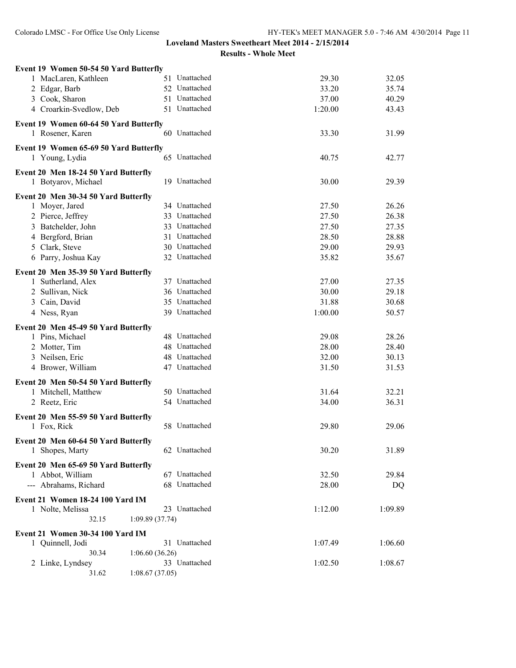| Event 19 Women 50-54 50 Yard Butterfly |               |         |         |
|----------------------------------------|---------------|---------|---------|
| 1 MacLaren, Kathleen                   | 51 Unattached | 29.30   | 32.05   |
| 2 Edgar, Barb                          | 52 Unattached | 33.20   | 35.74   |
| 3 Cook, Sharon                         | 51 Unattached | 37.00   | 40.29   |
| 4 Croarkin-Svedlow, Deb                | 51 Unattached | 1:20.00 | 43.43   |
| Event 19 Women 60-64 50 Yard Butterfly |               |         |         |
| 1 Rosener, Karen                       | 60 Unattached | 33.30   | 31.99   |
|                                        |               |         |         |
| Event 19 Women 65-69 50 Yard Butterfly | 65 Unattached |         | 42.77   |
| 1 Young, Lydia                         |               | 40.75   |         |
| Event 20 Men 18-24 50 Yard Butterfly   |               |         |         |
| 1 Botyarov, Michael                    | 19 Unattached | 30.00   | 29.39   |
| Event 20 Men 30-34 50 Yard Butterfly   |               |         |         |
| 1 Moyer, Jared                         | 34 Unattached | 27.50   | 26.26   |
| 2 Pierce, Jeffrey                      | 33 Unattached | 27.50   | 26.38   |
| 3 Batchelder, John                     | 33 Unattached | 27.50   | 27.35   |
| 4 Bergford, Brian                      | 31 Unattached | 28.50   | 28.88   |
| 5 Clark, Steve                         | 30 Unattached | 29.00   | 29.93   |
| 6 Parry, Joshua Kay                    | 32 Unattached | 35.82   | 35.67   |
|                                        |               |         |         |
| Event 20 Men 35-39 50 Yard Butterfly   | 37 Unattached |         |         |
| 1 Sutherland, Alex                     | 36 Unattached | 27.00   | 27.35   |
| 2 Sullivan, Nick                       | 35 Unattached | 30.00   | 29.18   |
| 3 Cain, David                          |               | 31.88   | 30.68   |
| 4 Ness, Ryan                           | 39 Unattached | 1:00.00 | 50.57   |
| Event 20 Men 45-49 50 Yard Butterfly   |               |         |         |
| 1 Pins, Michael                        | 48 Unattached | 29.08   | 28.26   |
| 2 Motter, Tim                          | 48 Unattached | 28.00   | 28.40   |
| 3 Neilsen, Eric                        | 48 Unattached | 32.00   | 30.13   |
| 4 Brower, William                      | 47 Unattached | 31.50   | 31.53   |
| Event 20 Men 50-54 50 Yard Butterfly   |               |         |         |
| 1 Mitchell, Matthew                    | 50 Unattached | 31.64   | 32.21   |
| 2 Reetz, Eric                          | 54 Unattached | 34.00   | 36.31   |
|                                        |               |         |         |
| Event 20 Men 55-59 50 Yard Butterfly   |               |         |         |
| 1 Fox, Rick                            | 58 Unattached | 29.80   | 29.06   |
| Event 20 Men 60-64 50 Yard Butterfly   |               |         |         |
| 1 Shopes, Marty                        | 62 Unattached | 30.20   | 31.89   |
| Event 20 Men 65-69 50 Yard Butterfly   |               |         |         |
| 1 Abbot, William                       | 67 Unattached | 32.50   | 29.84   |
| --- Abrahams, Richard                  | 68 Unattached | 28.00   | DQ      |
|                                        |               |         |         |
| Event 21 Women 18-24 100 Yard IM       |               |         |         |
| 1 Nolte, Melissa                       | 23 Unattached | 1:12.00 | 1:09.89 |
| 32.15<br>1:09.89(37.74)                |               |         |         |
| Event 21 Women 30-34 100 Yard IM       |               |         |         |
| 1 Quinnell, Jodi                       | 31 Unattached | 1:07.49 | 1:06.60 |
| 30.34<br>1:06.60(36.26)                |               |         |         |
| 2 Linke, Lyndsey                       | 33 Unattached | 1:02.50 | 1:08.67 |
| 31.62<br>1:08.67(37.05)                |               |         |         |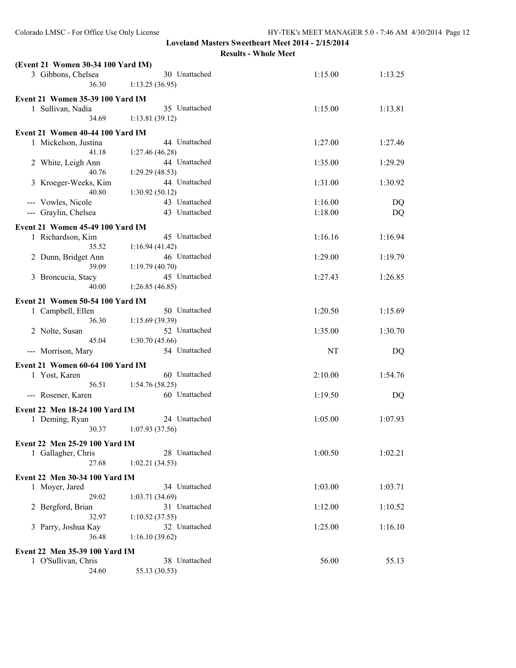| (Event 21 Women 30-34 100 Yard IM)                |                                 |         |         |
|---------------------------------------------------|---------------------------------|---------|---------|
| 3 Gibbons, Chelsea<br>36.30                       | 30 Unattached<br>1:13.25(36.95) | 1:15.00 | 1:13.25 |
| <b>Event 21 Women 35-39 100 Yard IM</b>           |                                 |         |         |
| 1 Sullivan, Nadia                                 | 35 Unattached                   | 1:15.00 | 1:13.81 |
| 34.69                                             | 1:13.81(39.12)                  |         |         |
| Event 21 Women 40-44 100 Yard IM                  |                                 |         |         |
| 1 Mickelson, Justina                              | 44 Unattached                   | 1:27.00 | 1:27.46 |
| 41.18                                             | 1:27.46 (46.28)                 |         |         |
| 2 White, Leigh Ann                                | 44 Unattached                   | 1:35.00 | 1:29.29 |
| 40.76                                             | 1:29.29 (48.53)                 |         |         |
| 3 Kroeger-Weeks, Kim                              | 44 Unattached                   | 1:31.00 | 1:30.92 |
| 40.80                                             | 1:30.92(50.12)                  |         |         |
| --- Vowles, Nicole                                | 43 Unattached                   | 1:16.00 | DQ      |
| --- Graylin, Chelsea                              | 43 Unattached                   | 1:18.00 | DQ      |
| Event 21 Women 45-49 100 Yard IM                  |                                 |         |         |
| 1 Richardson, Kim                                 | 45 Unattached                   | 1:16.16 | 1:16.94 |
| 35.52                                             | 1:16.94(41.42)                  |         |         |
| 2 Dunn, Bridget Ann                               | 46 Unattached                   | 1:29.00 | 1:19.79 |
| 39.09                                             | 1:19.79 (40.70)                 |         |         |
| 3 Broncucia, Stacy                                | 45 Unattached                   | 1:27.43 | 1:26.85 |
| 40.00                                             | 1:26.85(46.85)                  |         |         |
| Event 21 Women 50-54 100 Yard IM                  |                                 |         |         |
| 1 Campbell, Ellen                                 | 50 Unattached                   | 1:20.50 | 1:15.69 |
| 36.30                                             | 1:15.69 (39.39)                 |         |         |
| 2 Nolte, Susan                                    | 52 Unattached                   | 1:35.00 | 1:30.70 |
| 45.04                                             | 1:30.70(45.66)                  |         |         |
| --- Morrison, Mary                                | 54 Unattached                   | NT      | DQ      |
|                                                   |                                 |         |         |
| Event 21 Women 60-64 100 Yard IM<br>1 Yost, Karen | 60 Unattached                   | 2:10.00 | 1:54.76 |
| 56.51                                             | 1:54.76(58.25)                  |         |         |
| --- Rosener, Karen                                | 60 Unattached                   | 1:19.50 | DQ      |
|                                                   |                                 |         |         |
| Event 22 Men 18-24 100 Yard IM                    |                                 |         |         |
| 1 Deming, Ryan                                    | 24 Unattached                   | 1:05.00 | 1:07.93 |
| 30.37                                             | 1:07.93(37.56)                  |         |         |
| Event 22 Men 25-29 100 Yard IM                    |                                 |         |         |
| 1 Gallagher, Chris                                | 28 Unattached                   | 1:00.50 | 1:02.21 |
| 27.68                                             | 1:02.21(34.53)                  |         |         |
| Event 22 Men 30-34 100 Yard IM                    |                                 |         |         |
| 1 Moyer, Jared                                    | 34 Unattached                   | 1:03.00 | 1:03.71 |
| 29.02                                             | 1:03.71 (34.69)                 |         |         |
| 2 Bergford, Brian                                 | 31 Unattached                   | 1:12.00 | 1:10.52 |
| 32.97                                             | 1:10.52(37.55)                  |         |         |
| 3 Parry, Joshua Kay                               | 32 Unattached                   | 1:25.00 | 1:16.10 |
| 36.48                                             | 1:16.10(39.62)                  |         |         |
| Event 22 Men 35-39 100 Yard IM                    |                                 |         |         |
| 1 O'Sullivan, Chris                               | 38 Unattached                   | 56.00   | 55.13   |
| 24.60                                             | 55.13 (30.53)                   |         |         |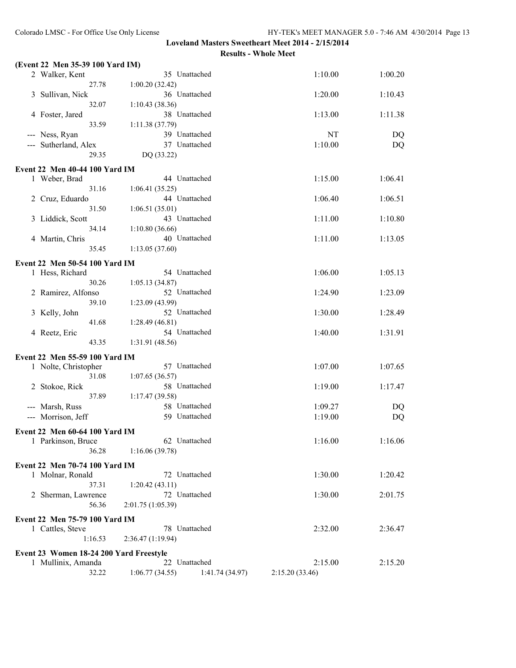| (Event 22 Men 35-39 100 Yard IM)        |                                   |                 |         |
|-----------------------------------------|-----------------------------------|-----------------|---------|
| 35 Unattached<br>2 Walker, Kent         |                                   | 1:10.00         | 1:00.20 |
| 27.78                                   | 1:00.20(32.42)                    |                 |         |
| 3 Sullivan, Nick                        | 36 Unattached                     | 1:20.00         | 1:10.43 |
| 32.07                                   | 1:10.43(38.36)                    |                 |         |
| 4 Foster, Jared                         | 38 Unattached                     | 1:13.00         | 1:11.38 |
| 33.59                                   | 1:11.38 (37.79)                   |                 |         |
| --- Ness, Ryan                          | 39 Unattached                     | NT              | DQ      |
| --- Sutherland, Alex                    | 37 Unattached                     | 1:10.00         | DQ      |
| 29.35                                   | DQ (33.22)                        |                 |         |
| <b>Event 22 Men 40-44 100 Yard IM</b>   |                                   |                 |         |
| 1 Weber, Brad                           | 44 Unattached                     | 1:15.00         | 1:06.41 |
| 31.16                                   | 1:06.41(35.25)                    |                 |         |
| 2 Cruz, Eduardo                         | 44 Unattached                     | 1:06.40         | 1:06.51 |
| 31.50                                   | 1:06.51(35.01)                    |                 |         |
|                                         | 43 Unattached                     | 1:11.00         | 1:10.80 |
| 3 Liddick, Scott<br>34.14               | 1:10.80(36.66)                    |                 |         |
| 4 Martin, Chris                         | 40 Unattached                     | 1:11.00         | 1:13.05 |
| 35.45                                   | 1:13.05(37.60)                    |                 |         |
|                                         |                                   |                 |         |
| Event 22 Men 50-54 100 Yard IM          |                                   |                 |         |
| 1 Hess, Richard                         | 54 Unattached                     | 1:06.00         | 1:05.13 |
| 30.26                                   | 1:05.13(34.87)                    |                 |         |
| 2 Ramirez, Alfonso                      | 52 Unattached                     | 1:24.90         | 1:23.09 |
| 39.10                                   | 1:23.09 (43.99)                   |                 |         |
| 3 Kelly, John                           | 52 Unattached                     | 1:30.00         | 1:28.49 |
| 41.68                                   | 1:28.49(46.81)                    |                 |         |
| 4 Reetz, Eric                           | 54 Unattached                     | 1:40.00         | 1:31.91 |
| 43.35                                   | 1:31.91 (48.56)                   |                 |         |
| Event 22 Men 55-59 100 Yard IM          |                                   |                 |         |
| 1 Nolte, Christopher                    | 57 Unattached                     | 1:07.00         | 1:07.65 |
| 31.08                                   | 1:07.65(36.57)                    |                 |         |
| 2 Stokoe, Rick                          | 58 Unattached                     | 1:19.00         | 1:17.47 |
| 37.89                                   | 1:17.47(39.58)                    |                 |         |
| --- Marsh, Russ                         | 58 Unattached                     | 1:09.27         | DQ      |
| --- Morrison, Jeff                      | 59 Unattached                     | 1:19.00         | DQ      |
|                                         |                                   |                 |         |
| Event 22 Men 60-64 100 Yard IM          |                                   |                 |         |
| 1 Parkinson, Bruce                      | 62 Unattached                     | 1:16.00         | 1:16.06 |
| 36.28                                   | 1:16.06(39.78)                    |                 |         |
| Event 22 Men 70-74 100 Yard IM          |                                   |                 |         |
| 1 Molnar, Ronald                        | 72 Unattached                     | 1:30.00         | 1:20.42 |
| 37.31                                   | 1:20.42(43.11)                    |                 |         |
| 2 Sherman, Lawrence                     | 72 Unattached                     | 1:30.00         | 2:01.75 |
| 56.36                                   | 2:01.75 (1:05.39)                 |                 |         |
| Event 22 Men 75-79 100 Yard IM          |                                   |                 |         |
| 1 Cattles, Steve                        | 78 Unattached                     | 2:32.00         | 2:36.47 |
| 1:16.53                                 | 2:36.47(1:19.94)                  |                 |         |
|                                         |                                   |                 |         |
| Event 23 Women 18-24 200 Yard Freestyle |                                   |                 |         |
| 1 Mullinix, Amanda                      | 22 Unattached                     | 2:15.00         | 2:15.20 |
| 32.22                                   | 1:06.77(34.55)<br>1:41.74 (34.97) | 2:15.20 (33.46) |         |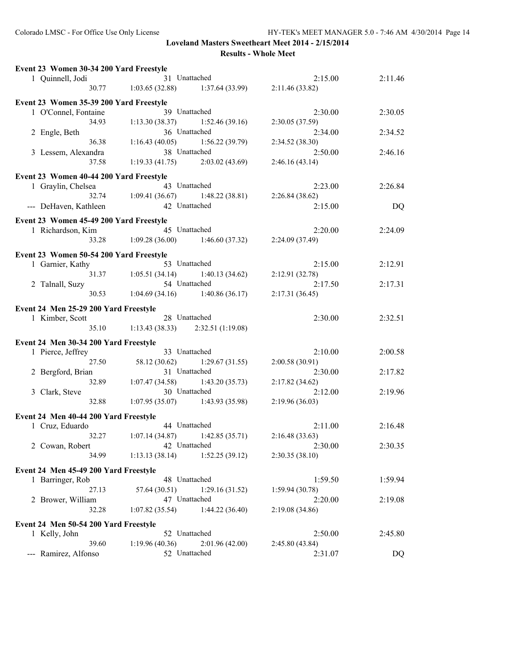| Event 23 Women 30-34 200 Yard Freestyle |                                                                              |                                   |                 |         |
|-----------------------------------------|------------------------------------------------------------------------------|-----------------------------------|-----------------|---------|
| 1 Quinnell, Jodi                        | 31 Unattached                                                                |                                   | 2:15.00         | 2:11.46 |
|                                         | 30.77 1:03.65 (32.88) 1:37.64 (33.99) 2:11.46 (33.82)                        |                                   |                 |         |
| Event 23 Women 35-39 200 Yard Freestyle |                                                                              |                                   |                 |         |
| 1 O'Connel, Fontaine                    | 39 Unattached                                                                |                                   | 2:30.00         | 2:30.05 |
| 34.93                                   | 1:13.30(38.37)                                                               | 1:52.46 (39.16)                   | 2:30.05(37.59)  |         |
| 2 Engle, Beth                           | 36 Unattached                                                                |                                   | 2:34.00         | 2:34.52 |
| 36.38                                   | $1:16.43(40.05)$ $1:56.22(39.79)$                                            |                                   | 2:34.52(38.30)  |         |
| 3 Lessem, Alexandra                     | 38 Unattached                                                                |                                   | 2:50.00         | 2:46.16 |
| 37.58                                   | $1:19.33(41.75)$ $2:03.02(43.69)$                                            |                                   | 2:46.16(43.14)  |         |
| Event 23 Women 40-44 200 Yard Freestyle |                                                                              |                                   |                 |         |
| 1 Graylin, Chelsea                      | 43 Unattached                                                                |                                   | 2:23.00         | 2:26.84 |
|                                         | ea 43 0 matriced 2:<br>32.74 1:09.41 (36.67) 1:48.22 (38.81) 2:26.84 (38.62) |                                   |                 |         |
| --- DeHaven, Kathleen                   | 42 Unattached                                                                |                                   | 2:15.00         | DQ      |
| Event 23 Women 45-49 200 Yard Freestyle |                                                                              |                                   |                 |         |
| 1 Richardson, Kim                       | 45 Unattached                                                                |                                   | 2:20.00         | 2:24.09 |
| 33.28                                   | $1:09.28(36.00)$ $1:46.60(37.32)$ $2:24.09(37.49)$                           |                                   |                 |         |
| Event 23 Women 50-54 200 Yard Freestyle |                                                                              |                                   |                 |         |
| 1 Garnier, Kathy                        | 53 Unattached                                                                |                                   | 2:15.00         | 2:12.91 |
|                                         | 31.37 1:05.51 (34.14)                                                        | $1:40.13(34.62)$ $2:12.91(32.78)$ |                 |         |
| 2 Talnall, Suzy                         | 54 Unattached                                                                |                                   | 2:17.50         | 2:17.31 |
|                                         | 30.53 1:04.69 (34.16) 1:40.86 (36.17)                                        |                                   | 2:17.31(36.45)  |         |
| Event 24 Men 25-29 200 Yard Freestyle   |                                                                              |                                   |                 |         |
| 1 Kimber, Scott                         | 28 Unattached                                                                |                                   | 2:30.00         | 2:32.51 |
|                                         | 35.10 1:13.43 (38.33) 2:32.51 (1:19.08)                                      |                                   |                 |         |
| Event 24 Men 30-34 200 Yard Freestyle   |                                                                              |                                   |                 |         |
| 1 Pierce, Jeffrey                       | 33 Unattached                                                                |                                   | 2:10.00         | 2:00.58 |
| 27.50                                   | 58.12 (30.62) 1:29.67 (31.55)                                                |                                   | 2:00.58(30.91)  |         |
| 2 Bergford, Brian                       | 31 Unattached                                                                |                                   | 2:30.00         | 2:17.82 |
| 32.89                                   | $1:07.47(34.58)$ $1:43.20(35.73)$                                            |                                   | 2:17.82(34.62)  |         |
| 3 Clark, Steve                          | 30 Unattached                                                                |                                   | 2:12.00         | 2:19.96 |
| 32.88                                   |                                                                              | $1:07.95(35.07)$ $1:43.93(35.98)$ | 2:19.96 (36.03) |         |
| Event 24 Men 40-44 200 Yard Freestyle   |                                                                              |                                   |                 |         |
| 1 Cruz, Eduardo                         | 44 Unattached                                                                |                                   | 2:11.00         | 2:16.48 |
|                                         | 32.27 1:07.14 (34.87) 1:42.85 (35.71) 2:16.48 (33.63)                        |                                   |                 |         |
| 2 Cowan, Robert                         | 42 Unattached                                                                |                                   | 2:30.00         | 2:30.35 |
| 34.99                                   | 1:13.13(38.14)                                                               | 1:52.25(39.12)                    | 2:30.35(38.10)  |         |
| Event 24 Men 45-49 200 Yard Freestyle   |                                                                              |                                   |                 |         |
| 1 Barringer, Rob                        | 48 Unattached                                                                |                                   | 1:59.50         | 1:59.94 |
| 27.13                                   | 57.64 (30.51)                                                                | 1:29.16(31.52)                    | 1:59.94(30.78)  |         |
| 2 Brower, William                       | 47 Unattached                                                                |                                   | 2:20.00         | 2:19.08 |
| 32.28                                   | 1:07.82(35.54)                                                               | 1:44.22(36.40)                    | 2:19.08(34.86)  |         |
| Event 24 Men 50-54 200 Yard Freestyle   |                                                                              |                                   |                 |         |
| 1 Kelly, John                           | 52 Unattached                                                                |                                   | 2:50.00         | 2:45.80 |
| 39.60                                   | 1:19.96(40.36)                                                               | 2:01.96(42.00)                    | 2:45.80 (43.84) |         |
| --- Ramirez, Alfonso                    | 52 Unattached                                                                |                                   | 2:31.07         | DQ      |
|                                         |                                                                              |                                   |                 |         |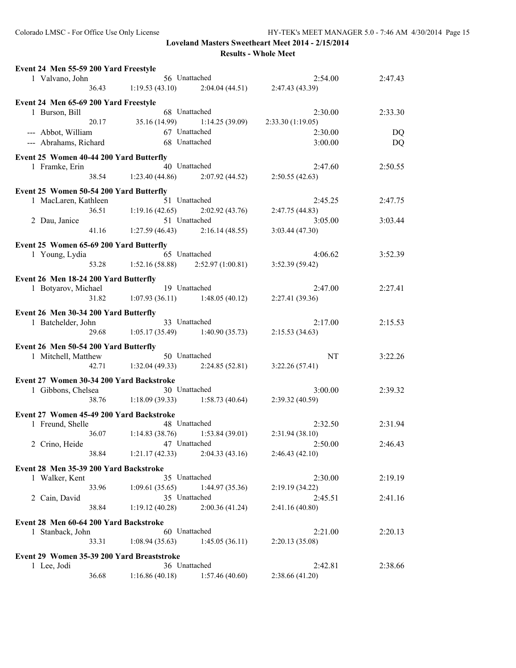|                 | Event 24 Men 55-59 200 Yard Freestyle      |       |                                                                             |                |                                     |         |
|-----------------|--------------------------------------------|-------|-----------------------------------------------------------------------------|----------------|-------------------------------------|---------|
| 1 Valvano, John |                                            |       |                                                                             |                | 2:54.00                             | 2:47.43 |
|                 |                                            |       | $56$ Unattached 2:<br>36.43 1:19.53 (43.10) 2:04.04 (44.51) 2:47.43 (43.39) |                |                                     |         |
|                 | Event 24 Men 65-69 200 Yard Freestyle      |       |                                                                             |                |                                     |         |
|                 | 1 Burson, Bill                             |       | 68 Unattached                                                               |                | 2:30.00                             | 2:33.30 |
|                 |                                            |       | 20.17 35.16 (14.99)                                                         |                | $1:14.25(39.09)$ $2:33.30(1:19.05)$ |         |
|                 | --- Abbot, William                         |       | 67 Unattached                                                               |                | 2:30.00                             | DQ      |
|                 |                                            |       | --- Abrahams, Richard 68 Unattached                                         |                | 3:00.00                             | DQ      |
|                 | Event 25 Women 40-44 200 Yard Butterfly    |       |                                                                             |                |                                     |         |
|                 | 1 Framke, Erin                             |       | 40 Unattached                                                               |                | 2:47.60                             | 2:50.55 |
|                 |                                            |       | 38.54 1:23.40 (44.86) 2:07.92 (44.52) 2:50.55 (42.63)                       |                |                                     |         |
|                 |                                            |       |                                                                             |                |                                     |         |
|                 | Event 25 Women 50-54 200 Yard Butterfly    |       |                                                                             |                |                                     |         |
|                 | 1 MacLaren, Kathleen                       |       | 51 Unattached                                                               |                | 2:45.25                             | 2:47.75 |
|                 |                                            | 36.51 | 1:19.16(42.65)                                                              |                | $2:02.92(43.76)$ $2:47.75(44.83)$   |         |
|                 | 2 Dau, Janice                              |       | 51 Unattached                                                               |                | 3:05.00                             | 3:03.44 |
|                 |                                            |       | 41.16 1:27.59 (46.43) 2:16.14 (48.55)                                       |                | 3:03.44 (47.30)                     |         |
|                 | Event 25 Women 65-69 200 Yard Butterfly    |       |                                                                             |                |                                     |         |
|                 | 1 Young, Lydia                             |       | 65 Unattached                                                               |                | 4:06.62                             | 3:52.39 |
|                 |                                            |       | 53.28 1:52.16 (58.88) 2:52.97 (1:00.81) 3:52.39 (59.42)                     |                |                                     |         |
|                 | Event 26 Men 18-24 200 Yard Butterfly      |       |                                                                             |                |                                     |         |
|                 |                                            |       | 1 Botyarov, Michael 19 Unattached                                           |                | 2:47.00                             | 2:27.41 |
|                 |                                            |       | 31.82 1:07.93 (36.11) 1:48.05 (40.12) 2:27.41 (39.36)                       |                |                                     |         |
|                 | Event 26 Men 30-34 200 Yard Butterfly      |       |                                                                             |                |                                     |         |
|                 | 1 Batchelder, John                         |       | 33 Unattached                                                               |                | 2:17.00                             | 2:15.53 |
|                 |                                            | 29.68 | $1:05.17(35.49)$ $1:40.90(35.73)$ $2:15.53(34.63)$                          |                |                                     |         |
|                 |                                            |       |                                                                             |                |                                     |         |
|                 | Event 26 Men 50-54 200 Yard Butterfly      |       |                                                                             |                |                                     |         |
|                 | 1 Mitchell, Matthew                        |       | 50 Unattached                                                               |                | NT                                  | 3:22.26 |
|                 |                                            |       | 42.71 1:32.04 (49.33) 2:24.85 (52.81) 3:22.26 (57.41)                       |                |                                     |         |
|                 | Event 27 Women 30-34 200 Yard Backstroke   |       |                                                                             |                |                                     |         |
|                 |                                            |       | 1 Gibbons, Chelsea 30 Unattached                                            |                | 3:00.00                             | 2:39.32 |
|                 |                                            |       | 38.76 1:18.09 (39.33) 1:58.73 (40.64) 2:39.32 (40.59)                       |                |                                     |         |
|                 | Event 27 Women 45-49 200 Yard Backstroke   |       |                                                                             |                |                                     |         |
|                 | 1 Freund, Shelle<br>48 Unattached          |       |                                                                             | 2:32.50        | 2:31.94                             |         |
|                 |                                            |       | 36.07 1:14.83 (38.76) 1:53.84 (39.01) 2:31.94 (38.10)                       |                |                                     |         |
|                 | 2 Crino, Heide                             |       | 47 Unattached                                                               |                | 2:50.00                             | 2:46.43 |
|                 |                                            | 38.84 | 1:21.17(42.33)                                                              | 2:04.33(43.16) | 2:46.43(42.10)                      |         |
|                 | Event 28 Men 35-39 200 Yard Backstroke     |       |                                                                             |                |                                     |         |
|                 | 1 Walker, Kent                             |       | 35 Unattached                                                               |                | 2:30.00                             | 2:19.19 |
|                 |                                            | 33.96 | 1:09.61(35.65)                                                              | 1:44.97(35.36) | 2:19.19(34.22)                      |         |
|                 | 2 Cain, David                              |       | 35 Unattached                                                               |                | 2:45.51                             | 2:41.16 |
|                 |                                            | 38.84 | 1:19.12(40.28)                                                              | 2:00.36(41.24) | 2:41.16 (40.80)                     |         |
|                 |                                            |       |                                                                             |                |                                     |         |
|                 | Event 28 Men 60-64 200 Yard Backstroke     |       |                                                                             |                |                                     |         |
|                 | 1 Stanback, John                           |       | 60 Unattached                                                               |                | 2:21.00                             | 2:20.13 |
|                 |                                            | 33.31 | 1:08.94(35.63)                                                              | 1:45.05(36.11) | 2:20.13(35.08)                      |         |
|                 | Event 29 Women 35-39 200 Yard Breaststroke |       |                                                                             |                |                                     |         |
|                 | 1 Lee, Jodi                                |       | 36 Unattached                                                               |                | 2:42.81                             | 2:38.66 |
|                 |                                            | 36.68 | 1:16.86(40.18)                                                              | 1:57.46(40.60) | 2:38.66(41.20)                      |         |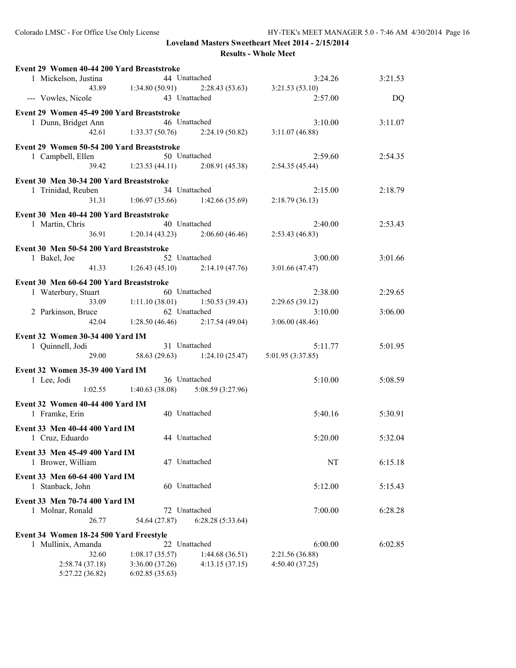| Event 29 Women 40-44 200 Yard Breaststroke |                                       |                                   |         |
|--------------------------------------------|---------------------------------------|-----------------------------------|---------|
| 1 Mickelson, Justina                       | 44 Unattached                         | 3:24.26                           | 3:21.53 |
| 43.89                                      | 1:34.80(50.91)                        | $2:28.43(53.63)$ $3:21.53(53.10)$ |         |
| --- Vowles, Nicole                         | 43 Unattached                         | 2:57.00                           | DQ      |
| Event 29 Women 45-49 200 Yard Breaststroke |                                       |                                   |         |
| 1 Dunn, Bridget Ann                        | 46 Unattached                         | 3:10.00                           | 3:11.07 |
| 42.61                                      | 1:33.37(50.76)                        | 2:24.19(50.82)<br>3:11.07(46.88)  |         |
| Event 29 Women 50-54 200 Yard Breaststroke |                                       |                                   |         |
| 1 Campbell, Ellen                          | 50 Unattached                         | 2:59.60                           | 2:54.35 |
|                                            | 39.42 1:23.53 (44.11) 2:08.91 (45.38) | 2:54.35(45.44)                    |         |
|                                            |                                       |                                   |         |
| Event 30 Men 30-34 200 Yard Breaststroke   | 34 Unattached                         |                                   |         |
| 1 Trinidad, Reuben<br>31.31                | $1:06.97(35.66)$ $1:42.66(35.69)$     | 2:15.00<br>2:18.79(36.13)         | 2:18.79 |
|                                            |                                       |                                   |         |
| Event 30 Men 40-44 200 Yard Breaststroke   |                                       |                                   |         |
| 1 Martin, Chris                            | 40 Unattached                         | 2:40.00                           | 2:53.43 |
| 36.91                                      | $1:20.14(43.23)$ $2:06.60(46.46)$     | 2:53.43(46.83)                    |         |
| Event 30 Men 50-54 200 Yard Breaststroke   |                                       |                                   |         |
| 1 Bakel, Joe                               | 52 Unattached                         | 3:00.00                           | 3:01.66 |
| 41.33                                      | $1:26.43(45.10)$ $2:14.19(47.76)$     | 3:01.66(47.47)                    |         |
| Event 30 Men 60-64 200 Yard Breaststroke   |                                       |                                   |         |
| 1 Waterbury, Stuart                        | 60 Unattached                         | 2:38.00                           | 2:29.65 |
| 33.09                                      | 1:11.10(38.01)                        | 1:50.53(39.43)<br>2:29.65(39.12)  |         |
| 2 Parkinson, Bruce                         | 62 Unattached                         | 3:10.00                           | 3:06.00 |
| 42.04                                      | 1:28.50(46.46)                        | 3:06.00(48.46)<br>2:17.54(49.04)  |         |
| Event 32 Women 30-34 400 Yard IM           |                                       |                                   |         |
| 1 Quinnell, Jodi                           | 31 Unattached                         | 5:11.77                           | 5:01.95 |
|                                            | 29.00 58.63 (29.63) 1:24.10 (25.47)   | 5:01.95(3:37.85)                  |         |
|                                            |                                       |                                   |         |
| Event 32 Women 35-39 400 Yard IM           |                                       |                                   |         |
| 1 Lee, Jodi                                | 36 Unattached                         | 5:10.00                           | 5:08.59 |
| 1:02.55                                    | $1:40.63(38.08)$ $5:08.59(3:27.96)$   |                                   |         |
| Event 32 Women 40-44 400 Yard IM           |                                       |                                   |         |
| 1 Framke, Erin                             | 40 Unattached                         | 5:40.16                           | 5:30.91 |
| Event 33 Men 40-44 400 Yard IM             |                                       |                                   |         |
| 1 Cruz, Eduardo                            | 44 Unattached                         | 5:20.00                           | 5:32.04 |
| Event 33 Men 45-49 400 Yard IM             |                                       |                                   |         |
| 1 Brower, William                          | 47 Unattached                         | NT                                | 6:15.18 |
|                                            |                                       |                                   |         |
| Event 33 Men 60-64 400 Yard IM             |                                       |                                   |         |
| 1 Stanback, John                           | 60 Unattached                         | 5:12.00                           | 5:15.43 |
| Event 33 Men 70-74 400 Yard IM             |                                       |                                   |         |
| 1 Molnar, Ronald                           | 72 Unattached                         | 7:00.00                           | 6:28.28 |
| 26.77                                      | 54.64 (27.87)                         | 6:28.28(5:33.64)                  |         |
| Event 34 Women 18-24 500 Yard Freestyle    |                                       |                                   |         |
| 1 Mullinix, Amanda                         | 22 Unattached                         | 6:00.00                           | 6:02.85 |
| 32.60                                      | 1:08.17(35.57)                        | 1:44.68(36.51)<br>2:21.56 (36.88) |         |
| 2:58.74(37.18)                             | 3:36.00(37.26)                        | 4:13.15(37.15)<br>4:50.40 (37.25) |         |
| 5:27.22 (36.82)                            | 6:02.85(35.63)                        |                                   |         |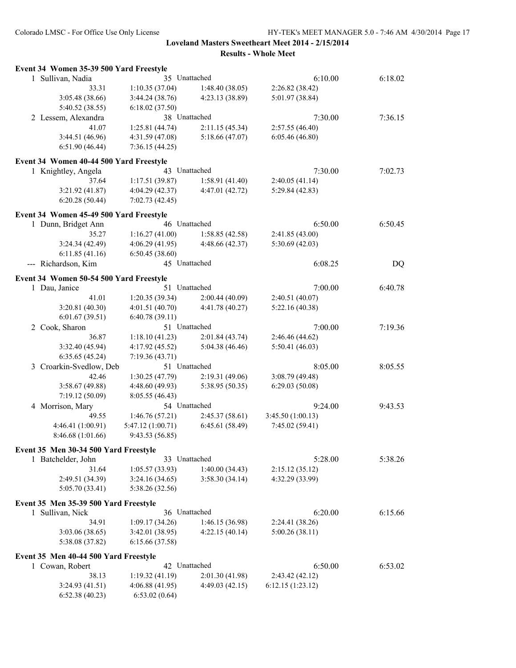| Event 34 Women 35-39 500 Yard Freestyle |                   |                 |                  |         |
|-----------------------------------------|-------------------|-----------------|------------------|---------|
| 1 Sullivan, Nadia                       | 35 Unattached     |                 | 6:10.00          | 6:18.02 |
| 33.31                                   | 1:10.35(37.04)    | 1:48.40(38.05)  | 2:26.82 (38.42)  |         |
| 3:05.48 (38.66)                         | 3:44.24(38.76)    | 4:23.13 (38.89) | 5:01.97 (38.84)  |         |
| 5:40.52 (38.55)                         | 6:18.02(37.50)    |                 |                  |         |
| 2 Lessem, Alexandra                     | 38 Unattached     |                 | 7:30.00          | 7:36.15 |
| 41.07                                   | 1:25.81(44.74)    | 2:11.15(45.34)  | 2:57.55(46.40)   |         |
| 3:44.51 (46.96)                         | 4:31.59(47.08)    | 5:18.66(47.07)  | 6:05.46(46.80)   |         |
| 6:51.90(46.44)                          | 7:36.15(44.25)    |                 |                  |         |
| Event 34 Women 40-44 500 Yard Freestyle |                   |                 |                  |         |
| 1 Knightley, Angela                     | 43 Unattached     |                 | 7:30.00          | 7:02.73 |
| 37.64                                   | 1:17.51(39.87)    | 1:58.91(41.40)  | 2:40.05(41.14)   |         |
| 3:21.92 (41.87)                         | 4:04.29(42.37)    | 4:47.01 (42.72) | 5:29.84 (42.83)  |         |
| 6:20.28(50.44)                          | 7:02.73(42.45)    |                 |                  |         |
| Event 34 Women 45-49 500 Yard Freestyle |                   |                 |                  |         |
| 1 Dunn, Bridget Ann                     | 46 Unattached     |                 | 6:50.00          | 6:50.45 |
| 35.27                                   | 1:16.27(41.00)    | 1:58.85(42.58)  | 2:41.85(43.00)   |         |
| 3:24.34(42.49)                          | 4:06.29(41.95)    | 4:48.66 (42.37) | 5:30.69(42.03)   |         |
| 6:11.85(41.16)                          | 6:50.45(38.60)    |                 |                  |         |
| --- Richardson, Kim                     | 45 Unattached     |                 | 6:08.25          | DQ      |
| Event 34 Women 50-54 500 Yard Freestyle |                   |                 |                  |         |
| 1 Dau, Janice                           | 51 Unattached     |                 | 7:00.00          | 6:40.78 |
| 41.01                                   | 1:20.35(39.34)    | 2:00.44(40.09)  | 2:40.51(40.07)   |         |
| 3:20.81(40.30)                          | 4:01.51(40.70)    | 4:41.78 (40.27) | 5:22.16 (40.38)  |         |
| 6:01.67(39.51)                          | 6:40.78(39.11)    |                 |                  |         |
| 2 Cook, Sharon                          | 51 Unattached     |                 | 7:00.00          | 7:19.36 |
| 36.87                                   | 1:18.10(41.23)    | 2:01.84(43.74)  | 2:46.46 (44.62)  |         |
| 3:32.40(45.94)                          | 4:17.92(45.52)    | 5:04.38 (46.46) | 5:50.41(46.03)   |         |
| 6:35.65(45.24)                          | 7:19.36(43.71)    |                 |                  |         |
| 3 Croarkin-Svedlow, Deb                 | 51 Unattached     |                 | 8:05.00          | 8:05.55 |
| 42.46                                   | 1:30.25(47.79)    | 2:19.31(49.06)  | 3:08.79 (49.48)  |         |
| 3:58.67(49.88)                          | 4:48.60 (49.93)   | 5:38.95 (50.35) | 6:29.03(50.08)   |         |
| 7:19.12 (50.09)                         | 8:05.55(46.43)    |                 |                  |         |
| 4 Morrison, Mary                        | 54 Unattached     |                 | 9:24.00          | 9:43.53 |
| 49.55                                   | 1:46.76(57.21)    | 2:45.37(58.61)  | 3:45.50(1:00.13) |         |
| 4:46.41 (1:00.91)                       | 5:47.12 (1:00.71) | 6:45.61(58.49)  | 7:45.02 (59.41)  |         |
| 8:46.68 (1:01.66)                       | 9:43.53(56.85)    |                 |                  |         |
| Event 35 Men 30-34 500 Yard Freestyle   |                   |                 |                  |         |
| 1 Batchelder, John                      | 33 Unattached     |                 | 5:28.00          | 5:38.26 |
| 31.64                                   | 1:05.57(33.93)    | 1:40.00(34.43)  | 2:15.12(35.12)   |         |
| 2:49.51 (34.39)                         | 3:24.16(34.65)    | 3:58.30(34.14)  | 4:32.29 (33.99)  |         |
| 5:05.70 (33.41)                         | 5:38.26 (32.56)   |                 |                  |         |
| Event 35 Men 35-39 500 Yard Freestyle   |                   |                 |                  |         |
| 1 Sullivan, Nick                        | 36 Unattached     |                 | 6:20.00          | 6:15.66 |
| 34.91                                   | 1:09.17(34.26)    | 1:46.15(36.98)  | 2:24.41 (38.26)  |         |
| 3:03.06(38.65)                          | 3:42.01 (38.95)   | 4:22.15(40.14)  | 5:00.26(38.11)   |         |
| 5:38.08 (37.82)                         | 6:15.66 (37.58)   |                 |                  |         |
| Event 35 Men 40-44 500 Yard Freestyle   |                   |                 |                  |         |
| 1 Cowan, Robert                         | 42 Unattached     |                 | 6:50.00          | 6:53.02 |
| 38.13                                   | 1:19.32(41.19)    | 2:01.30(41.98)  | 2:43.42(42.12)   |         |
| 3:24.93(41.51)                          | 4:06.88(41.95)    | 4:49.03(42.15)  | 6:12.15(1:23.12) |         |
| 6:52.38(40.23)                          | 6:53.02(0.64)     |                 |                  |         |
|                                         |                   |                 |                  |         |